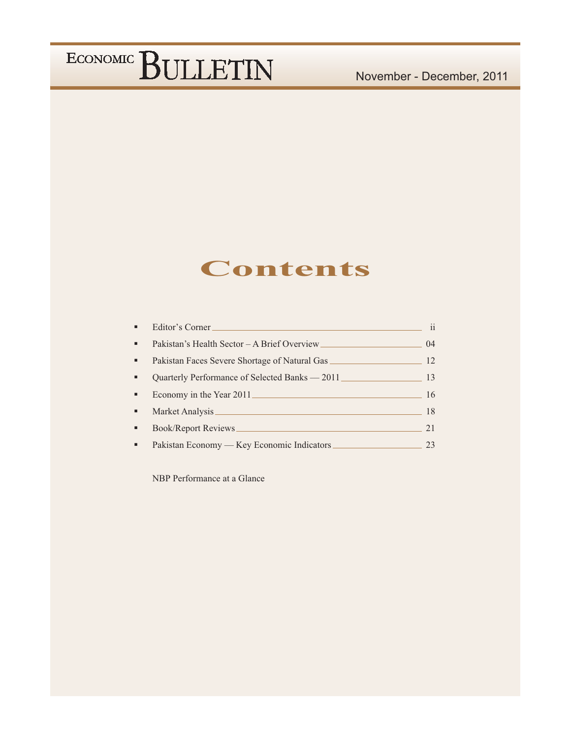### **Contents**

| ٠  | Editor's Corner                                | ii |
|----|------------------------------------------------|----|
| ٠  | Pakistan's Health Sector - A Brief Overview    | 04 |
| н. | Pakistan Faces Severe Shortage of Natural Gas  | 12 |
| ٠  | Quarterly Performance of Selected Banks – 2011 | 13 |
| ٠  | Economy in the Year 2011                       | 16 |
| ٠  |                                                | 18 |
| ٠  |                                                | 21 |
| ٠  | Pakistan Economy — Key Economic Indicators     | 23 |

NBP Performance at a Glance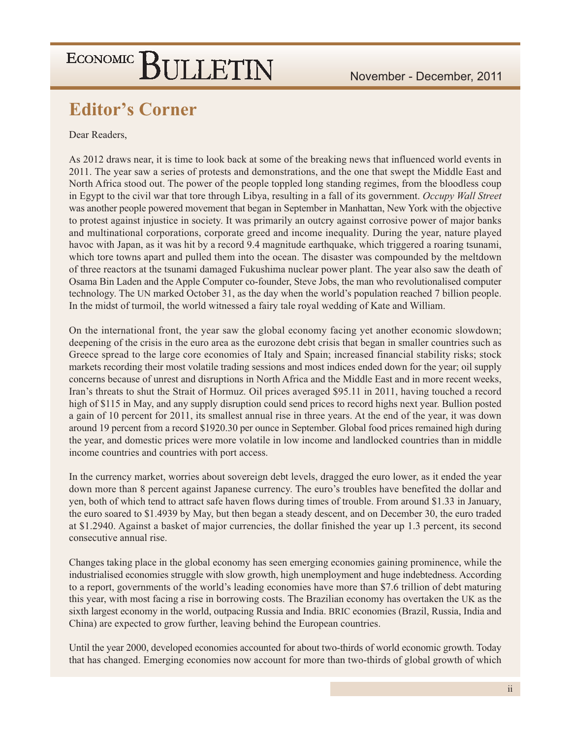### **Editor's Corner**

#### Dear Readers,

As 2012 draws near, it is time to look back at some of the breaking news that influenced world events in 2011. The year saw a series of protests and demonstrations, and the one that swept the Middle East and North Africa stood out. The power of the people toppled long standing regimes, from the bloodless coup in Egypt to the civil war that tore through Libya, resulting in a fall of its government. Occupy Wall Street was another people powered movement that began in September in Manhattan, New York with the objective to protest against injustice in society. It was primarily an outcry against corrosive power of major banks and multinational corporations, corporate greed and income inequality. During the year, nature played havoc with Japan, as it was hit by a record 9.4 magnitude earthquake, which triggered a roaring tsunami, which tore towns apart and pulled them into the ocean. The disaster was compounded by the meltdown of three reactors at the tsunami damaged Fukushima nuclear power plant. The year also saw the death of Osama Bin Laden and the Apple Computer co-founder, Steve Jobs, the man who revolutionalised computer technology. The UN marked October 31, as the day when the world's population reached 7 billion people. In the midst of turmoil, the world witnessed a fairy tale royal wedding of Kate and William.

On the international front, the year saw the global economy facing yet another economic slowdown; deepening of the crisis in the euro area as the eurozone debt crisis that began in smaller countries such as Greece spread to the large core economies of Italy and Spain; increased financial stability risks; stock markets recording their most volatile trading sessions and most indices ended down for the year; oil supply concerns because of unrest and disruptions in North Africa and the Middle East and in more recent weeks, Iran's threats to shut the Strait of Hormuz. Oil prices averaged \$95.11 in 2011, having touched a record high of \$115 in May, and any supply disruption could send prices to record highs next year. Bullion posted a gain of 10 percent for 2011, its smallest annual rise in three years. At the end of the year, it was down around 19 percent from a record \$1920.30 per ounce in September. Global food prices remained high during the year, and domestic prices were more volatile in low income and landlocked countries than in middle income countries and countries with port access.

In the currency market, worries about sovereign debt levels, dragged the euro lower, as it ended the year down more than 8 percent against Japanese currency. The euro's troubles have benefited the dollar and yen, both of which tend to attract safe haven flows during times of trouble. From around \$1.33 in January, the euro soared to \$1.4939 by May, but then began a steady descent, and on December 30, the euro traded at \$1.2940. Against a basket of major currencies, the dollar finished the year up 1.3 percent, its second consecutive annual rise.

Changes taking place in the global economy has seen emerging economies gaining prominence, while the industrialised economies struggle with slow growth, high unemployment and huge indebtedness. According to a report, governments of the world's leading economies have more than \$7.6 trillion of debt maturing this year, with most facing a rise in borrowing costs. The Brazilian economy has overtaken the UK as the sixth largest economy in the world, outpacing Russia and India. BRIC economies (Brazil, Russia, India and China) are expected to grow further, leaving behind the European countries.

Until the year 2000, developed economies accounted for about two-thirds of world economic growth. Today that has changed. Emerging economies now account for more than two-thirds of global growth of which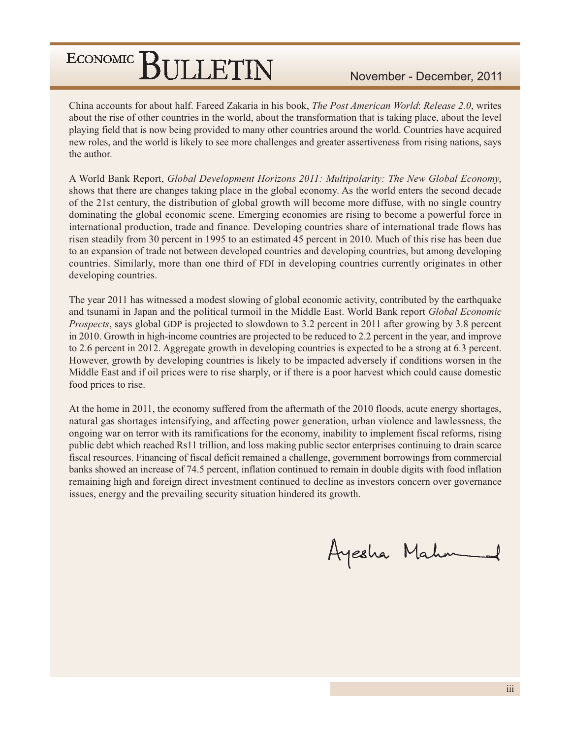China accounts for about half. Fareed Zakaria in his book, *The Post American World: Release 2.0*, writes about the rise of other countries in the world, about the transformation that is taking place, about the level playing field that is now being provided to many other countries around the world. Countries have acquired new roles, and the world is likely to see more challenges and greater assertiveness from rising nations, says the author.

A World Bank Report, Global Development Horizons 2011: Multipolarity: The New Global Economy, shows that there are changes taking place in the global economy. As the world enters the second decade of the 21st century, the distribution of global growth will become more diffuse, with no single country dominating the global economic scene. Emerging economies are rising to become a powerful force in international production, trade and finance. Developing countries share of international trade flows has risen steadily from 30 percent in 1995 to an estimated 45 percent in 2010. Much of this rise has been due to an expansion of trade not between developed countries and developing countries, but among developing countries. Similarly, more than one third of FDI in developing countries currently originates in other developing countries.

The year 2011 has witnessed a modest slowing of global economic activity, contributed by the earthquake and tsunami in Japan and the political turmoil in the Middle East. World Bank report Global Economic *Prospects*, says global GDP is projected to slowdown to 3.2 percent in 2011 after growing by 3.8 percent in 2010. Growth in high-income countries are projected to be reduced to 2.2 percent in the year, and improve to 2.6 percent in 2012. Aggregate growth in developing countries is expected to be a strong at 6.3 percent. However, growth by developing countries is likely to be impacted adversely if conditions worsen in the Middle East and if oil prices were to rise sharply, or if there is a poor harvest which could cause domestic food prices to rise.

At the home in 2011, the economy suffered from the aftermath of the 2010 floods, acute energy shortages, natural gas shortages intensifying, and affecting power generation, urban violence and lawlessness, the ongoing war on terror with its ramifications for the economy, inability to implement fiscal reforms, rising public debt which reached Rs11 trillion, and loss making public sector enterprises continuing to drain scarce fiscal resources. Financing of fiscal deficit remained a challenge, government borrowings from commercial banks showed an increase of 74.5 percent, inflation continued to remain in double digits with food inflation remaining high and foreign direct investment continued to decline as investors concern over governance issues, energy and the prevailing security situation hindered its growth.

Ayesha Mahn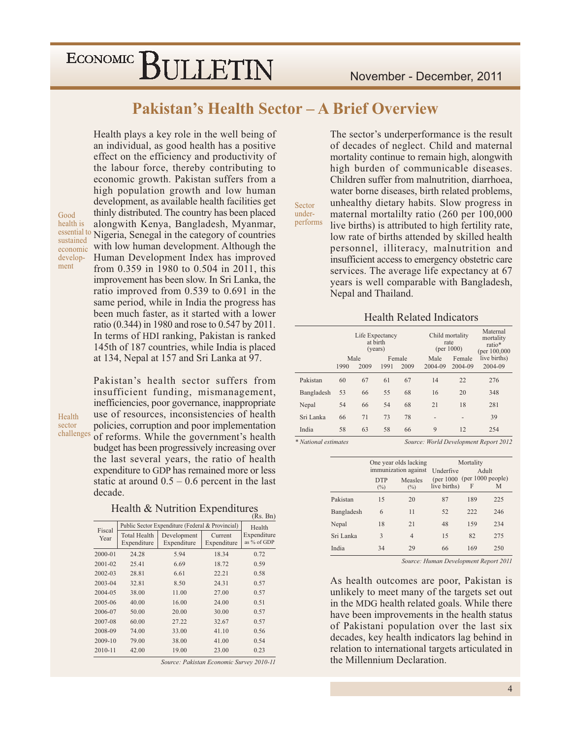Health plays a key role in the well being of

an individual, as good health has a positive

#### **Pakistan's Health Sector - A Brief Overview**

Sector

under-

effect on the efficiency and productivity of the labour force, thereby contributing to economic growth. Pakistan suffers from a high population growth and low human development, as available health facilities get thinly distributed. The country has been placed alongwith Kenya, Bangladesh, Myanmar, essential to Nigeria, Senegal in the category of countries with low human development. Although the Human Development Index has improved from 0.359 in 1980 to 0.504 in 2011, this improvement has been slow. In Sri Lanka, the ratio improved from 0.539 to 0.691 in the same period, while in India the progress has been much faster, as it started with a lower ratio (0.344) in 1980 and rose to 0.547 by 2011. In terms of HDI ranking, Pakistan is ranked 145th of 187 countries, while India is placed at 134, Nepal at 157 and Sri Lanka at 97.

Pakistan's health sector suffers from insufficient funding, mismanagement, inefficiencies, poor governance, inappropriate use of resources, inconsistencies of health policies, corruption and poor implementation challenges of reforms. While the government's health budget has been progressively increasing over the last several years, the ratio of health expenditure to GDP has remained more or less static at around  $0.5 - 0.6$  percent in the last decade.

Health & Nutrition Expenditures

|             |                     |                                                  |             | $(100, \text{DII})$ |
|-------------|---------------------|--------------------------------------------------|-------------|---------------------|
| Fiscal      |                     | Public Sector Expenditure (Federal & Provincial) |             | Health              |
| Year        | <b>Total Health</b> | Development                                      | Current     | Expenditure         |
|             | Expenditure         | Expenditure                                      | Expenditure | as % of GDP         |
| $2000 - 01$ | 24.28               | 5.94                                             | 18.34       | 0.72                |
| 2001-02     | 25.41               | 6.69                                             | 18.72       | 0.59                |
| $2002 - 03$ | 28.81               | 6.61                                             | 22.21       | 0.58                |
| 2003-04     | 32.81               | 8.50                                             | 24.31       | 0.57                |
| 2004-05     | 38.00               | 11.00                                            | 27.00       | 0.57                |
| 2005-06     | 40.00               | 16.00                                            | 24.00       | 0.51                |
| 2006-07     | 50.00               | 20.00                                            | 30.00       | 0.57                |
| 2007-08     | 60.00               | 27.22                                            | 32.67       | 0.57                |
| 2008-09     | 74.00               | 33.00                                            | 41.10       | 0.56                |
| 2009-10     | 79.00               | 38.00                                            | 41.00       | 0.54                |
| 2010-11     | 42.00               | 19.00                                            | 23.00       | 0.23                |

Source: Pakistan Economic Survey 2010-11

The sector's underperformance is the result of decades of neglect. Child and maternal mortality continue to remain high, alongwith high burden of communicable diseases. Children suffer from malnutrition, diarrhoea. water borne diseases, birth related problems, unhealthy dietary habits. Slow progress in maternal mortalilty ratio (260 per 100,000 performs live births) is attributed to high fertility rate, low rate of births attended by skilled health personnel, illiteracy, malnutrition and insufficient access to emergency obstetric care services. The average life expectancy at 67 years is well comparable with Bangladesh, Nepal and Thailand.

#### **Health Related Indicators**

|            |      | Life Expectancy | at birth<br>(years) |        |                          | Child mortality<br>rate<br>(per 1000) |                                  |  |  |  |
|------------|------|-----------------|---------------------|--------|--------------------------|---------------------------------------|----------------------------------|--|--|--|
|            |      | Male            |                     | Female | Male                     | Female                                | (per $100,000$ )<br>live births) |  |  |  |
|            | 1990 | 2009            | 1991                | 2009   | 2004-09                  | 2004-09                               | 2004-09                          |  |  |  |
| Pakistan   | 60   | 67              | 61                  | 67     | 14                       | 22                                    | 276                              |  |  |  |
| Bangladesh | 53   | 66              | 55                  | 68     | 16                       | 20                                    | 348                              |  |  |  |
| Nepal      | 54   | 66              | 54                  | 68     | 21                       | 18                                    | 281                              |  |  |  |
| Sri Lanka  | 66   | 71              | 73                  | 78     | $\overline{\phantom{0}}$ | $\overline{\phantom{0}}$              | 39                               |  |  |  |
| India      | 58   | 63              | 58                  | 66     | 9                        | 12                                    | 254                              |  |  |  |

\* National estimates Source: World Development Report 2012

|            |            | One year olds lacking | Mortality                       |     |       |  |  |
|------------|------------|-----------------------|---------------------------------|-----|-------|--|--|
|            |            | immunization against  | <b>Underfive</b>                |     | Adult |  |  |
|            | <b>DTP</b> | Measles               | $(per 1000$ (per $1000$ people) |     |       |  |  |
|            | $(\%)$     | $(\%)$                | live births)                    | F   | M     |  |  |
| Pakistan   | 15         | 20                    | 87                              | 189 | 225   |  |  |
| Bangladesh | 6          | 11                    | 52                              | 222 | 246   |  |  |
| Nepal      | 18         | 21                    | 48                              | 159 | 234   |  |  |
| Sri Lanka  | 3          | 4                     | 15                              | 82  | 275   |  |  |
| India      | 34         | 29                    | 66                              | 169 | 250   |  |  |
|            |            |                       |                                 |     |       |  |  |

Source: Human Development Report 2011

As health outcomes are poor, Pakistan is unlikely to meet many of the targets set out in the MDG health related goals. While there have been improvements in the health status of Pakistani population over the last six decades, key health indicators lag behind in relation to international targets articulated in the Millennium Declaration.

Good health is sustained economic development

Health sector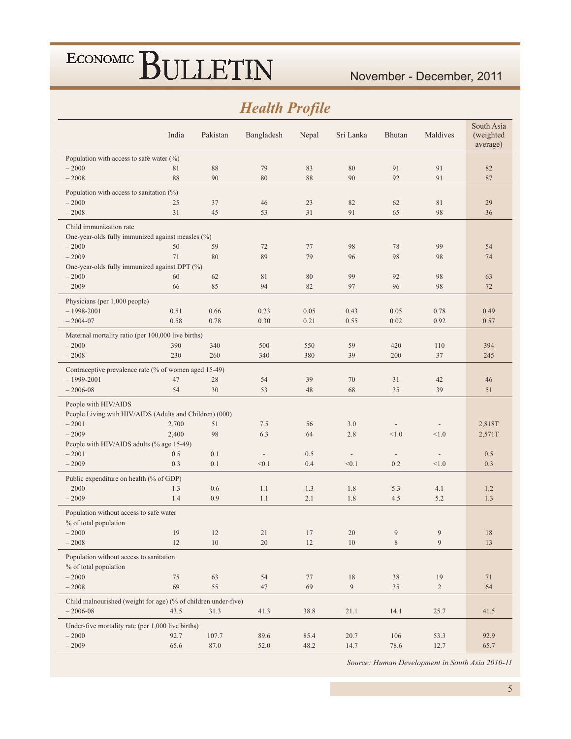#### **Health Profile**

| Population with access to safe water $(\%)$<br>$-2000$<br>81<br>88<br>79<br>83<br>80<br>91<br>91<br>82<br>$-2008$<br>88<br>90<br>80<br>88<br>90<br>92<br>91<br>87<br>Population with access to sanitation $(\%)$<br>$-2000$<br>25<br>37<br>23<br>82<br>62<br>81<br>29<br>46<br>31<br>65<br>$-2008$<br>45<br>53<br>31<br>91<br>98<br>36<br>Child immunization rate<br>One-year-olds fully immunized against measles (%)<br>98<br>78<br>$-2000$<br>50<br>59<br>72<br>77<br>99<br>54<br>$-2009$<br>71<br>89<br>79<br>98<br>80<br>96<br>98<br>74<br>One-year-olds fully immunized against DPT (%)<br>$-2000$<br>80<br>99<br>92<br>98<br>60<br>62<br>81<br>63<br>$-2009$<br>85<br>82<br>66<br>94<br>97<br>96<br>98<br>72<br>Physicians (per 1,000 people)<br>$-1998 - 2001$<br>0.51<br>0.66<br>0.23<br>0.05<br>0.43<br>0.05<br>0.78<br>0.49<br>$-2004 - 07$<br>0.58<br>0.78<br>0.30<br>0.21<br>0.55<br>0.02<br>0.92<br>0.57<br>Maternal mortality ratio (per 100,000 live births)<br>$-2000$<br>390<br>340<br>500<br>550<br>59<br>420<br>110<br>394<br>$-2008$<br>230<br>260<br>340<br>380<br>39<br>200<br>37<br>245<br>Contraceptive prevalence rate (% of women aged 15-49)<br>$-1999 - 2001$<br>70<br>47<br>28<br>54<br>39<br>31<br>42<br>46<br>$-2006 - 08$<br>30<br>53<br>68<br>35<br>54<br>48<br>39<br>51<br>People with HIV/AIDS<br>People Living with HIV/AIDS (Adults and Children) (000)<br>$-2001$<br>2,700<br>51<br>7.5<br>56<br>3.0<br>2,818T<br>$\overline{\phantom{a}}$<br>$\overline{\phantom{a}}$<br>$-2009$<br>2,400<br>6.3<br>98<br>64<br>2.8<br>< 1.0<br>< 1.0<br>2,571T<br>People with HIV/AIDS adults (% age 15-49)<br>$-2001$<br>0.5<br>0.1<br>0.5<br>0.5<br>$\overline{\phantom{0}}$<br>$\overline{\phantom{a}}$<br>$\overline{\phantom{a}}$<br>$-2009$<br>0.3<br>0.3<br>0.1<br>< 0.1<br>0.4<br>< 0.1<br>0.2<br>< 1.0<br>Public expenditure on health (% of GDP)<br>$-2000$<br>1.3<br>0.6<br>1.1<br>1.3<br>1.8<br>5.3<br>4.1<br>1.2<br>$-2009$<br>1.4<br>0.9<br>1.1<br>2.1<br>1.8<br>4.5<br>5.2<br>1.3<br>Population without access to safe water<br>% of total population<br>$-2000$<br>19<br>9<br>9<br>12<br>21<br>17<br>20<br>18<br>$\overline{9}$<br>$-2008$<br>12<br>$10\,$<br>$12\,$<br>$10\,$<br>$\,$ 8 $\,$<br>20<br>13<br>Population without access to sanitation<br>% of total population<br>$-2000$<br>75<br>63<br>54<br>77<br>18<br>38<br>19<br>71<br>69<br>69<br>9<br>$-2008$<br>55<br>47<br>35<br>$\overline{2}$<br>64<br>Child malnourished (weight for age) (% of children under-five)<br>$-2006 - 08$<br>21.1<br>14.1<br>43.5<br>31.3<br>41.3<br>38.8<br>25.7<br>41.5<br>Under-five mortality rate (per 1,000 live births)<br>$-2000$<br>92.7<br>107.7<br>89.6<br>85.4<br>20.7<br>53.3<br>92.9<br>106 |         | India | Pakistan | Bangladesh | Nepal | Sri Lanka | <b>Bhutan</b> | Maldives | South Asia<br>(weighted<br>average) |  |  |  |
|-------------------------------------------------------------------------------------------------------------------------------------------------------------------------------------------------------------------------------------------------------------------------------------------------------------------------------------------------------------------------------------------------------------------------------------------------------------------------------------------------------------------------------------------------------------------------------------------------------------------------------------------------------------------------------------------------------------------------------------------------------------------------------------------------------------------------------------------------------------------------------------------------------------------------------------------------------------------------------------------------------------------------------------------------------------------------------------------------------------------------------------------------------------------------------------------------------------------------------------------------------------------------------------------------------------------------------------------------------------------------------------------------------------------------------------------------------------------------------------------------------------------------------------------------------------------------------------------------------------------------------------------------------------------------------------------------------------------------------------------------------------------------------------------------------------------------------------------------------------------------------------------------------------------------------------------------------------------------------------------------------------------------------------------------------------------------------------------------------------------------------------------------------------------------------------------------------------------------------------------------------------------------------------------------------------------------------------------------------------------------------------------------------------------------------------------------------------------------------------------------------------------------------------------------------------------------------------------------------------------------------------------------------------------------------------------------------------------------------------------|---------|-------|----------|------------|-------|-----------|---------------|----------|-------------------------------------|--|--|--|
|                                                                                                                                                                                                                                                                                                                                                                                                                                                                                                                                                                                                                                                                                                                                                                                                                                                                                                                                                                                                                                                                                                                                                                                                                                                                                                                                                                                                                                                                                                                                                                                                                                                                                                                                                                                                                                                                                                                                                                                                                                                                                                                                                                                                                                                                                                                                                                                                                                                                                                                                                                                                                                                                                                                                           |         |       |          |            |       |           |               |          |                                     |  |  |  |
|                                                                                                                                                                                                                                                                                                                                                                                                                                                                                                                                                                                                                                                                                                                                                                                                                                                                                                                                                                                                                                                                                                                                                                                                                                                                                                                                                                                                                                                                                                                                                                                                                                                                                                                                                                                                                                                                                                                                                                                                                                                                                                                                                                                                                                                                                                                                                                                                                                                                                                                                                                                                                                                                                                                                           |         |       |          |            |       |           |               |          |                                     |  |  |  |
|                                                                                                                                                                                                                                                                                                                                                                                                                                                                                                                                                                                                                                                                                                                                                                                                                                                                                                                                                                                                                                                                                                                                                                                                                                                                                                                                                                                                                                                                                                                                                                                                                                                                                                                                                                                                                                                                                                                                                                                                                                                                                                                                                                                                                                                                                                                                                                                                                                                                                                                                                                                                                                                                                                                                           |         |       |          |            |       |           |               |          |                                     |  |  |  |
|                                                                                                                                                                                                                                                                                                                                                                                                                                                                                                                                                                                                                                                                                                                                                                                                                                                                                                                                                                                                                                                                                                                                                                                                                                                                                                                                                                                                                                                                                                                                                                                                                                                                                                                                                                                                                                                                                                                                                                                                                                                                                                                                                                                                                                                                                                                                                                                                                                                                                                                                                                                                                                                                                                                                           |         |       |          |            |       |           |               |          |                                     |  |  |  |
|                                                                                                                                                                                                                                                                                                                                                                                                                                                                                                                                                                                                                                                                                                                                                                                                                                                                                                                                                                                                                                                                                                                                                                                                                                                                                                                                                                                                                                                                                                                                                                                                                                                                                                                                                                                                                                                                                                                                                                                                                                                                                                                                                                                                                                                                                                                                                                                                                                                                                                                                                                                                                                                                                                                                           |         |       |          |            |       |           |               |          |                                     |  |  |  |
|                                                                                                                                                                                                                                                                                                                                                                                                                                                                                                                                                                                                                                                                                                                                                                                                                                                                                                                                                                                                                                                                                                                                                                                                                                                                                                                                                                                                                                                                                                                                                                                                                                                                                                                                                                                                                                                                                                                                                                                                                                                                                                                                                                                                                                                                                                                                                                                                                                                                                                                                                                                                                                                                                                                                           |         |       |          |            |       |           |               |          |                                     |  |  |  |
|                                                                                                                                                                                                                                                                                                                                                                                                                                                                                                                                                                                                                                                                                                                                                                                                                                                                                                                                                                                                                                                                                                                                                                                                                                                                                                                                                                                                                                                                                                                                                                                                                                                                                                                                                                                                                                                                                                                                                                                                                                                                                                                                                                                                                                                                                                                                                                                                                                                                                                                                                                                                                                                                                                                                           |         |       |          |            |       |           |               |          |                                     |  |  |  |
|                                                                                                                                                                                                                                                                                                                                                                                                                                                                                                                                                                                                                                                                                                                                                                                                                                                                                                                                                                                                                                                                                                                                                                                                                                                                                                                                                                                                                                                                                                                                                                                                                                                                                                                                                                                                                                                                                                                                                                                                                                                                                                                                                                                                                                                                                                                                                                                                                                                                                                                                                                                                                                                                                                                                           |         |       |          |            |       |           |               |          |                                     |  |  |  |
|                                                                                                                                                                                                                                                                                                                                                                                                                                                                                                                                                                                                                                                                                                                                                                                                                                                                                                                                                                                                                                                                                                                                                                                                                                                                                                                                                                                                                                                                                                                                                                                                                                                                                                                                                                                                                                                                                                                                                                                                                                                                                                                                                                                                                                                                                                                                                                                                                                                                                                                                                                                                                                                                                                                                           |         |       |          |            |       |           |               |          |                                     |  |  |  |
|                                                                                                                                                                                                                                                                                                                                                                                                                                                                                                                                                                                                                                                                                                                                                                                                                                                                                                                                                                                                                                                                                                                                                                                                                                                                                                                                                                                                                                                                                                                                                                                                                                                                                                                                                                                                                                                                                                                                                                                                                                                                                                                                                                                                                                                                                                                                                                                                                                                                                                                                                                                                                                                                                                                                           |         |       |          |            |       |           |               |          |                                     |  |  |  |
|                                                                                                                                                                                                                                                                                                                                                                                                                                                                                                                                                                                                                                                                                                                                                                                                                                                                                                                                                                                                                                                                                                                                                                                                                                                                                                                                                                                                                                                                                                                                                                                                                                                                                                                                                                                                                                                                                                                                                                                                                                                                                                                                                                                                                                                                                                                                                                                                                                                                                                                                                                                                                                                                                                                                           |         |       |          |            |       |           |               |          |                                     |  |  |  |
|                                                                                                                                                                                                                                                                                                                                                                                                                                                                                                                                                                                                                                                                                                                                                                                                                                                                                                                                                                                                                                                                                                                                                                                                                                                                                                                                                                                                                                                                                                                                                                                                                                                                                                                                                                                                                                                                                                                                                                                                                                                                                                                                                                                                                                                                                                                                                                                                                                                                                                                                                                                                                                                                                                                                           |         |       |          |            |       |           |               |          |                                     |  |  |  |
|                                                                                                                                                                                                                                                                                                                                                                                                                                                                                                                                                                                                                                                                                                                                                                                                                                                                                                                                                                                                                                                                                                                                                                                                                                                                                                                                                                                                                                                                                                                                                                                                                                                                                                                                                                                                                                                                                                                                                                                                                                                                                                                                                                                                                                                                                                                                                                                                                                                                                                                                                                                                                                                                                                                                           |         |       |          |            |       |           |               |          |                                     |  |  |  |
|                                                                                                                                                                                                                                                                                                                                                                                                                                                                                                                                                                                                                                                                                                                                                                                                                                                                                                                                                                                                                                                                                                                                                                                                                                                                                                                                                                                                                                                                                                                                                                                                                                                                                                                                                                                                                                                                                                                                                                                                                                                                                                                                                                                                                                                                                                                                                                                                                                                                                                                                                                                                                                                                                                                                           |         |       |          |            |       |           |               |          |                                     |  |  |  |
|                                                                                                                                                                                                                                                                                                                                                                                                                                                                                                                                                                                                                                                                                                                                                                                                                                                                                                                                                                                                                                                                                                                                                                                                                                                                                                                                                                                                                                                                                                                                                                                                                                                                                                                                                                                                                                                                                                                                                                                                                                                                                                                                                                                                                                                                                                                                                                                                                                                                                                                                                                                                                                                                                                                                           |         |       |          |            |       |           |               |          |                                     |  |  |  |
|                                                                                                                                                                                                                                                                                                                                                                                                                                                                                                                                                                                                                                                                                                                                                                                                                                                                                                                                                                                                                                                                                                                                                                                                                                                                                                                                                                                                                                                                                                                                                                                                                                                                                                                                                                                                                                                                                                                                                                                                                                                                                                                                                                                                                                                                                                                                                                                                                                                                                                                                                                                                                                                                                                                                           |         |       |          |            |       |           |               |          |                                     |  |  |  |
|                                                                                                                                                                                                                                                                                                                                                                                                                                                                                                                                                                                                                                                                                                                                                                                                                                                                                                                                                                                                                                                                                                                                                                                                                                                                                                                                                                                                                                                                                                                                                                                                                                                                                                                                                                                                                                                                                                                                                                                                                                                                                                                                                                                                                                                                                                                                                                                                                                                                                                                                                                                                                                                                                                                                           |         |       |          |            |       |           |               |          |                                     |  |  |  |
|                                                                                                                                                                                                                                                                                                                                                                                                                                                                                                                                                                                                                                                                                                                                                                                                                                                                                                                                                                                                                                                                                                                                                                                                                                                                                                                                                                                                                                                                                                                                                                                                                                                                                                                                                                                                                                                                                                                                                                                                                                                                                                                                                                                                                                                                                                                                                                                                                                                                                                                                                                                                                                                                                                                                           |         |       |          |            |       |           |               |          |                                     |  |  |  |
|                                                                                                                                                                                                                                                                                                                                                                                                                                                                                                                                                                                                                                                                                                                                                                                                                                                                                                                                                                                                                                                                                                                                                                                                                                                                                                                                                                                                                                                                                                                                                                                                                                                                                                                                                                                                                                                                                                                                                                                                                                                                                                                                                                                                                                                                                                                                                                                                                                                                                                                                                                                                                                                                                                                                           |         |       |          |            |       |           |               |          |                                     |  |  |  |
|                                                                                                                                                                                                                                                                                                                                                                                                                                                                                                                                                                                                                                                                                                                                                                                                                                                                                                                                                                                                                                                                                                                                                                                                                                                                                                                                                                                                                                                                                                                                                                                                                                                                                                                                                                                                                                                                                                                                                                                                                                                                                                                                                                                                                                                                                                                                                                                                                                                                                                                                                                                                                                                                                                                                           |         |       |          |            |       |           |               |          |                                     |  |  |  |
|                                                                                                                                                                                                                                                                                                                                                                                                                                                                                                                                                                                                                                                                                                                                                                                                                                                                                                                                                                                                                                                                                                                                                                                                                                                                                                                                                                                                                                                                                                                                                                                                                                                                                                                                                                                                                                                                                                                                                                                                                                                                                                                                                                                                                                                                                                                                                                                                                                                                                                                                                                                                                                                                                                                                           |         |       |          |            |       |           |               |          |                                     |  |  |  |
|                                                                                                                                                                                                                                                                                                                                                                                                                                                                                                                                                                                                                                                                                                                                                                                                                                                                                                                                                                                                                                                                                                                                                                                                                                                                                                                                                                                                                                                                                                                                                                                                                                                                                                                                                                                                                                                                                                                                                                                                                                                                                                                                                                                                                                                                                                                                                                                                                                                                                                                                                                                                                                                                                                                                           |         |       |          |            |       |           |               |          |                                     |  |  |  |
|                                                                                                                                                                                                                                                                                                                                                                                                                                                                                                                                                                                                                                                                                                                                                                                                                                                                                                                                                                                                                                                                                                                                                                                                                                                                                                                                                                                                                                                                                                                                                                                                                                                                                                                                                                                                                                                                                                                                                                                                                                                                                                                                                                                                                                                                                                                                                                                                                                                                                                                                                                                                                                                                                                                                           |         |       |          |            |       |           |               |          |                                     |  |  |  |
|                                                                                                                                                                                                                                                                                                                                                                                                                                                                                                                                                                                                                                                                                                                                                                                                                                                                                                                                                                                                                                                                                                                                                                                                                                                                                                                                                                                                                                                                                                                                                                                                                                                                                                                                                                                                                                                                                                                                                                                                                                                                                                                                                                                                                                                                                                                                                                                                                                                                                                                                                                                                                                                                                                                                           |         |       |          |            |       |           |               |          |                                     |  |  |  |
|                                                                                                                                                                                                                                                                                                                                                                                                                                                                                                                                                                                                                                                                                                                                                                                                                                                                                                                                                                                                                                                                                                                                                                                                                                                                                                                                                                                                                                                                                                                                                                                                                                                                                                                                                                                                                                                                                                                                                                                                                                                                                                                                                                                                                                                                                                                                                                                                                                                                                                                                                                                                                                                                                                                                           |         |       |          |            |       |           |               |          |                                     |  |  |  |
|                                                                                                                                                                                                                                                                                                                                                                                                                                                                                                                                                                                                                                                                                                                                                                                                                                                                                                                                                                                                                                                                                                                                                                                                                                                                                                                                                                                                                                                                                                                                                                                                                                                                                                                                                                                                                                                                                                                                                                                                                                                                                                                                                                                                                                                                                                                                                                                                                                                                                                                                                                                                                                                                                                                                           |         |       |          |            |       |           |               |          |                                     |  |  |  |
|                                                                                                                                                                                                                                                                                                                                                                                                                                                                                                                                                                                                                                                                                                                                                                                                                                                                                                                                                                                                                                                                                                                                                                                                                                                                                                                                                                                                                                                                                                                                                                                                                                                                                                                                                                                                                                                                                                                                                                                                                                                                                                                                                                                                                                                                                                                                                                                                                                                                                                                                                                                                                                                                                                                                           |         |       |          |            |       |           |               |          |                                     |  |  |  |
|                                                                                                                                                                                                                                                                                                                                                                                                                                                                                                                                                                                                                                                                                                                                                                                                                                                                                                                                                                                                                                                                                                                                                                                                                                                                                                                                                                                                                                                                                                                                                                                                                                                                                                                                                                                                                                                                                                                                                                                                                                                                                                                                                                                                                                                                                                                                                                                                                                                                                                                                                                                                                                                                                                                                           |         |       |          |            |       |           |               |          |                                     |  |  |  |
|                                                                                                                                                                                                                                                                                                                                                                                                                                                                                                                                                                                                                                                                                                                                                                                                                                                                                                                                                                                                                                                                                                                                                                                                                                                                                                                                                                                                                                                                                                                                                                                                                                                                                                                                                                                                                                                                                                                                                                                                                                                                                                                                                                                                                                                                                                                                                                                                                                                                                                                                                                                                                                                                                                                                           |         |       |          |            |       |           |               |          |                                     |  |  |  |
|                                                                                                                                                                                                                                                                                                                                                                                                                                                                                                                                                                                                                                                                                                                                                                                                                                                                                                                                                                                                                                                                                                                                                                                                                                                                                                                                                                                                                                                                                                                                                                                                                                                                                                                                                                                                                                                                                                                                                                                                                                                                                                                                                                                                                                                                                                                                                                                                                                                                                                                                                                                                                                                                                                                                           |         |       |          |            |       |           |               |          |                                     |  |  |  |
|                                                                                                                                                                                                                                                                                                                                                                                                                                                                                                                                                                                                                                                                                                                                                                                                                                                                                                                                                                                                                                                                                                                                                                                                                                                                                                                                                                                                                                                                                                                                                                                                                                                                                                                                                                                                                                                                                                                                                                                                                                                                                                                                                                                                                                                                                                                                                                                                                                                                                                                                                                                                                                                                                                                                           |         |       |          |            |       |           |               |          |                                     |  |  |  |
|                                                                                                                                                                                                                                                                                                                                                                                                                                                                                                                                                                                                                                                                                                                                                                                                                                                                                                                                                                                                                                                                                                                                                                                                                                                                                                                                                                                                                                                                                                                                                                                                                                                                                                                                                                                                                                                                                                                                                                                                                                                                                                                                                                                                                                                                                                                                                                                                                                                                                                                                                                                                                                                                                                                                           |         |       |          |            |       |           |               |          |                                     |  |  |  |
|                                                                                                                                                                                                                                                                                                                                                                                                                                                                                                                                                                                                                                                                                                                                                                                                                                                                                                                                                                                                                                                                                                                                                                                                                                                                                                                                                                                                                                                                                                                                                                                                                                                                                                                                                                                                                                                                                                                                                                                                                                                                                                                                                                                                                                                                                                                                                                                                                                                                                                                                                                                                                                                                                                                                           |         |       |          |            |       |           |               |          |                                     |  |  |  |
|                                                                                                                                                                                                                                                                                                                                                                                                                                                                                                                                                                                                                                                                                                                                                                                                                                                                                                                                                                                                                                                                                                                                                                                                                                                                                                                                                                                                                                                                                                                                                                                                                                                                                                                                                                                                                                                                                                                                                                                                                                                                                                                                                                                                                                                                                                                                                                                                                                                                                                                                                                                                                                                                                                                                           |         |       |          |            |       |           |               |          |                                     |  |  |  |
|                                                                                                                                                                                                                                                                                                                                                                                                                                                                                                                                                                                                                                                                                                                                                                                                                                                                                                                                                                                                                                                                                                                                                                                                                                                                                                                                                                                                                                                                                                                                                                                                                                                                                                                                                                                                                                                                                                                                                                                                                                                                                                                                                                                                                                                                                                                                                                                                                                                                                                                                                                                                                                                                                                                                           |         |       |          |            |       |           |               |          |                                     |  |  |  |
|                                                                                                                                                                                                                                                                                                                                                                                                                                                                                                                                                                                                                                                                                                                                                                                                                                                                                                                                                                                                                                                                                                                                                                                                                                                                                                                                                                                                                                                                                                                                                                                                                                                                                                                                                                                                                                                                                                                                                                                                                                                                                                                                                                                                                                                                                                                                                                                                                                                                                                                                                                                                                                                                                                                                           |         |       |          |            |       |           |               |          |                                     |  |  |  |
|                                                                                                                                                                                                                                                                                                                                                                                                                                                                                                                                                                                                                                                                                                                                                                                                                                                                                                                                                                                                                                                                                                                                                                                                                                                                                                                                                                                                                                                                                                                                                                                                                                                                                                                                                                                                                                                                                                                                                                                                                                                                                                                                                                                                                                                                                                                                                                                                                                                                                                                                                                                                                                                                                                                                           |         |       |          |            |       |           |               |          |                                     |  |  |  |
|                                                                                                                                                                                                                                                                                                                                                                                                                                                                                                                                                                                                                                                                                                                                                                                                                                                                                                                                                                                                                                                                                                                                                                                                                                                                                                                                                                                                                                                                                                                                                                                                                                                                                                                                                                                                                                                                                                                                                                                                                                                                                                                                                                                                                                                                                                                                                                                                                                                                                                                                                                                                                                                                                                                                           |         |       |          |            |       |           |               |          |                                     |  |  |  |
|                                                                                                                                                                                                                                                                                                                                                                                                                                                                                                                                                                                                                                                                                                                                                                                                                                                                                                                                                                                                                                                                                                                                                                                                                                                                                                                                                                                                                                                                                                                                                                                                                                                                                                                                                                                                                                                                                                                                                                                                                                                                                                                                                                                                                                                                                                                                                                                                                                                                                                                                                                                                                                                                                                                                           |         |       |          |            |       |           |               |          |                                     |  |  |  |
|                                                                                                                                                                                                                                                                                                                                                                                                                                                                                                                                                                                                                                                                                                                                                                                                                                                                                                                                                                                                                                                                                                                                                                                                                                                                                                                                                                                                                                                                                                                                                                                                                                                                                                                                                                                                                                                                                                                                                                                                                                                                                                                                                                                                                                                                                                                                                                                                                                                                                                                                                                                                                                                                                                                                           |         |       |          |            |       |           |               |          |                                     |  |  |  |
|                                                                                                                                                                                                                                                                                                                                                                                                                                                                                                                                                                                                                                                                                                                                                                                                                                                                                                                                                                                                                                                                                                                                                                                                                                                                                                                                                                                                                                                                                                                                                                                                                                                                                                                                                                                                                                                                                                                                                                                                                                                                                                                                                                                                                                                                                                                                                                                                                                                                                                                                                                                                                                                                                                                                           |         |       |          |            |       |           |               |          |                                     |  |  |  |
|                                                                                                                                                                                                                                                                                                                                                                                                                                                                                                                                                                                                                                                                                                                                                                                                                                                                                                                                                                                                                                                                                                                                                                                                                                                                                                                                                                                                                                                                                                                                                                                                                                                                                                                                                                                                                                                                                                                                                                                                                                                                                                                                                                                                                                                                                                                                                                                                                                                                                                                                                                                                                                                                                                                                           |         |       |          |            |       |           |               |          |                                     |  |  |  |
|                                                                                                                                                                                                                                                                                                                                                                                                                                                                                                                                                                                                                                                                                                                                                                                                                                                                                                                                                                                                                                                                                                                                                                                                                                                                                                                                                                                                                                                                                                                                                                                                                                                                                                                                                                                                                                                                                                                                                                                                                                                                                                                                                                                                                                                                                                                                                                                                                                                                                                                                                                                                                                                                                                                                           |         |       |          |            |       |           |               |          |                                     |  |  |  |
|                                                                                                                                                                                                                                                                                                                                                                                                                                                                                                                                                                                                                                                                                                                                                                                                                                                                                                                                                                                                                                                                                                                                                                                                                                                                                                                                                                                                                                                                                                                                                                                                                                                                                                                                                                                                                                                                                                                                                                                                                                                                                                                                                                                                                                                                                                                                                                                                                                                                                                                                                                                                                                                                                                                                           |         |       |          |            |       |           |               |          |                                     |  |  |  |
|                                                                                                                                                                                                                                                                                                                                                                                                                                                                                                                                                                                                                                                                                                                                                                                                                                                                                                                                                                                                                                                                                                                                                                                                                                                                                                                                                                                                                                                                                                                                                                                                                                                                                                                                                                                                                                                                                                                                                                                                                                                                                                                                                                                                                                                                                                                                                                                                                                                                                                                                                                                                                                                                                                                                           |         |       |          |            |       |           |               |          |                                     |  |  |  |
|                                                                                                                                                                                                                                                                                                                                                                                                                                                                                                                                                                                                                                                                                                                                                                                                                                                                                                                                                                                                                                                                                                                                                                                                                                                                                                                                                                                                                                                                                                                                                                                                                                                                                                                                                                                                                                                                                                                                                                                                                                                                                                                                                                                                                                                                                                                                                                                                                                                                                                                                                                                                                                                                                                                                           |         |       |          |            |       |           |               |          |                                     |  |  |  |
|                                                                                                                                                                                                                                                                                                                                                                                                                                                                                                                                                                                                                                                                                                                                                                                                                                                                                                                                                                                                                                                                                                                                                                                                                                                                                                                                                                                                                                                                                                                                                                                                                                                                                                                                                                                                                                                                                                                                                                                                                                                                                                                                                                                                                                                                                                                                                                                                                                                                                                                                                                                                                                                                                                                                           | $-2009$ | 65.6  | $87.0\,$ | 52.0       | 48.2  | 14.7      | $78.6\,$      | 12.7     | 65.7                                |  |  |  |

Source: Human Development in South Asia 2010-11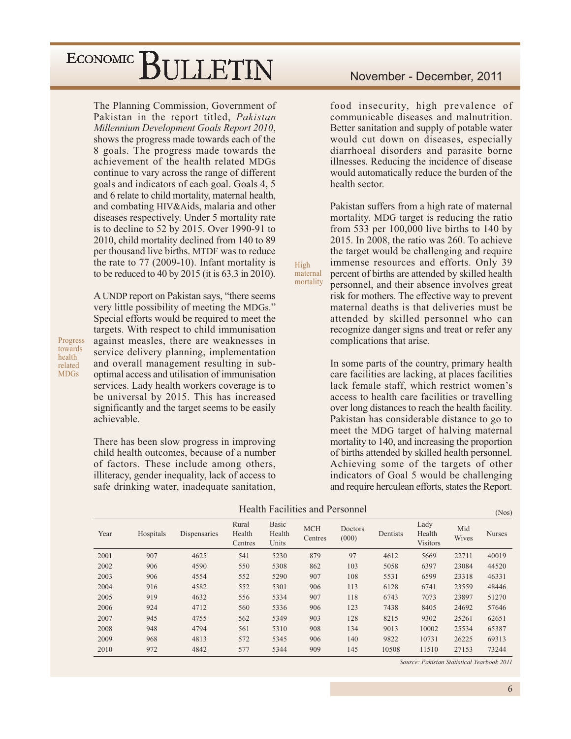The Planning Commission, Government of Pakistan in the report titled, Pakistan Millennium Development Goals Report 2010, shows the progress made towards each of the 8 goals. The progress made towards the achievement of the health related MDGs continue to vary across the range of different goals and indicators of each goal. Goals 4, 5 and 6 relate to child mortality, maternal health, and combating HIV&Aids, malaria and other diseases respectively. Under 5 mortality rate is to decline to 52 by 2015. Over 1990-91 to 2010, child mortality declined from 140 to 89 per thousand live births. MTDF was to reduce the rate to  $77$  (2009-10). Infant mortality is to be reduced to 40 by 2015 (it is  $63.3$  in 2010).

A UNDP report on Pakistan says, "there seems very little possibility of meeting the MDGs." Special efforts would be required to meet the targets. With respect to child immunisation against measles, there are weaknesses in service delivery planning, implementation and overall management resulting in suboptimal access and utilisation of immunisation services. Lady health workers coverage is to be universal by 2015. This has increased significantly and the target seems to be easily achievable.

There has been slow progress in improving child health outcomes, because of a number of factors. These include among others, illiteracy, gender inequality, lack of access to safe drinking water, inadequate sanitation,

#### November - December, 2011

food insecurity, high prevalence of communicable diseases and malnutrition. Better sanitation and supply of potable water would cut down on diseases, especially diarrhoeal disorders and parasite borne illnesses. Reducing the incidence of disease would automatically reduce the burden of the health sector.

Pakistan suffers from a high rate of maternal mortality. MDG target is reducing the ratio from 533 per  $100,000$  live births to 140 by 2015. In 2008, the ratio was 260. To achieve the target would be challenging and require immense resources and efforts. Only 39 percent of births are attended by skilled health personnel, and their absence involves great risk for mothers. The effective way to prevent maternal deaths is that deliveries must be attended by skilled personnel who can recognize danger signs and treat or refer any complications that arise.

In some parts of the country, primary health care facilities are lacking, at places facilities lack female staff, which restrict women's access to health care facilities or travelling over long distances to reach the health facility. Pakistan has considerable distance to go to meet the MDG target of halving maternal mortality to 140, and increasing the proportion of births attended by skilled health personnel. Achieving some of the targets of other indicators of Goal 5 would be challenging and require herculean efforts, states the Report.

High

maternal

mortality

|      |           |              |                            |                                 | Health Facilities and Personnel |                  |          |                                   |              | (Nos)         |
|------|-----------|--------------|----------------------------|---------------------------------|---------------------------------|------------------|----------|-----------------------------------|--------------|---------------|
| Year | Hospitals | Dispensaries | Rural<br>Health<br>Centres | <b>Basic</b><br>Health<br>Units | <b>MCH</b><br>Centres           | Doctors<br>(000) | Dentists | Lady<br>Health<br><b>Visitors</b> | Mid<br>Wives | <b>Nurses</b> |
| 2001 | 907       | 4625         | 541                        | 5230                            | 879                             | 97               | 4612     | 5669                              | 22711        | 40019         |
| 2002 | 906       | 4590         | 550                        | 5308                            | 862                             | 103              | 5058     | 6397                              | 23084        | 44520         |
| 2003 | 906       | 4554         | 552                        | 5290                            | 907                             | 108              | 5531     | 6599                              | 23318        | 46331         |
| 2004 | 916       | 4582         | 552                        | 5301                            | 906                             | 113              | 6128     | 6741                              | 23559        | 48446         |
| 2005 | 919       | 4632         | 556                        | 5334                            | 907                             | 118              | 6743     | 7073                              | 23897        | 51270         |
| 2006 | 924       | 4712         | 560                        | 5336                            | 906                             | 123              | 7438     | 8405                              | 24692        | 57646         |
| 2007 | 945       | 4755         | 562                        | 5349                            | 903                             | 128              | 8215     | 9302                              | 25261        | 62651         |
| 2008 | 948       | 4794         | 561                        | 5310                            | 908                             | 134              | 9013     | 10002                             | 25534        | 65387         |
| 2009 | 968       | 4813         | 572                        | 5345                            | 906                             | 140              | 9822     | 10731                             | 26225        | 69313         |
| 2010 | 972       | 4842         | 577                        | 5344                            | 909                             | 145              | 10508    | 11510                             | 27153        | 73244         |

Source: Pakistan Statistical Yearbook 2011

Progress towards health related **MDGs**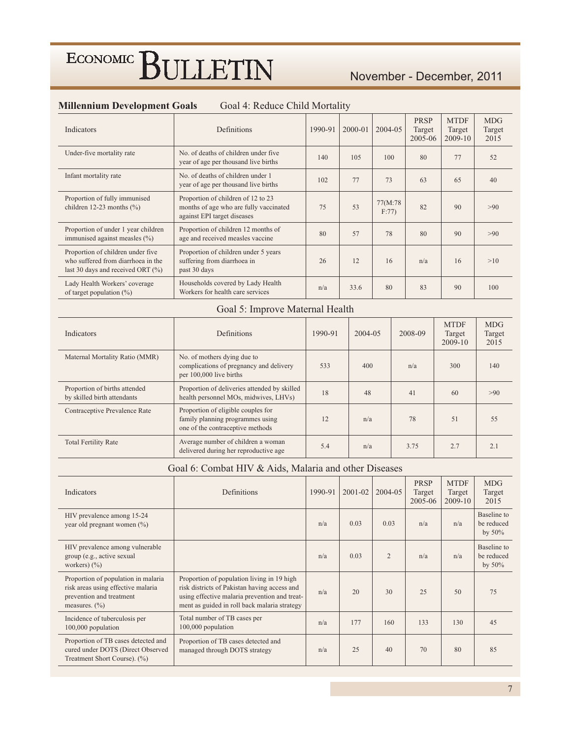#### November - December, 2011

| Indicators                                                                                                      | Definitions                                                                                                 | 1990-91 | 2000-01 | 2004-05          | PRSP<br>Target<br>2005-06 | <b>MTDF</b><br>Target<br>2009-10 | <b>MDG</b><br>Target<br>2015 |
|-----------------------------------------------------------------------------------------------------------------|-------------------------------------------------------------------------------------------------------------|---------|---------|------------------|---------------------------|----------------------------------|------------------------------|
| Under-five mortality rate                                                                                       | No. of deaths of children under five.<br>year of age per thousand live births                               | 140     | 105     | 100              | 80                        | 77                               | 52                           |
| Infant mortality rate                                                                                           | No. of deaths of children under 1<br>year of age per thousand live births                                   | 102     | 77      | 73               | 63                        | 65                               | 40                           |
| Proportion of fully immunised<br>children 12-23 months $(\% )$                                                  | Proportion of children of 12 to 23<br>months of age who are fully vaccinated<br>against EPI target diseases | 75      | 53      | 77(M:78)<br>F:77 | 82                        | 90                               | >90                          |
| Proportion of under 1 year children<br>immunised against measles (%)                                            | Proportion of children 12 months of<br>age and received measles vaccine                                     | 80      | 57      | 78               | 80                        | 90                               | >90                          |
| Proportion of children under five<br>who suffered from diarrhoea in the<br>last 30 days and received ORT $(\%)$ | Proportion of children under 5 years<br>suffering from diarrhoea in<br>past 30 days                         | 26      | 12      | 16               | n/a                       | 16                               | >10                          |
| Lady Health Workers' coverage<br>of target population $(\%)$                                                    | Households covered by Lady Health<br>Workers for health care services                                       | n/a     | 33.6    | 80               | 83                        | 90                               | 100                          |

#### Goal 4: Reduce Child Mortality **Millennium Development Goals**

#### Goal 5: Improve Maternal Health

| <b>Indicators</b>                                            | <b>Definitions</b>                                                                                         | 1990-91 | $2004 - 05$ | 2008-09 | <b>MTDF</b><br>Target<br>$2009-10$ | <b>MDG</b><br>Target<br>2015 |
|--------------------------------------------------------------|------------------------------------------------------------------------------------------------------------|---------|-------------|---------|------------------------------------|------------------------------|
| Maternal Mortality Ratio (MMR)                               | No. of mothers dying due to<br>complications of pregnancy and delivery<br>per 100,000 live births          | 533     | 400         | n/a     | 300                                | 140                          |
| Proportion of births attended<br>by skilled birth attendants | Proportion of deliveries attended by skilled<br>health personnel MOs, midwives, LHVs)                      | 18      | 48          | 41      | 60                                 | >90                          |
| Contraceptive Prevalence Rate                                | Proportion of eligible couples for<br>family planning programmes using<br>one of the contraceptive methods | 12      | n/a         | 78      | 51                                 | 55                           |
| <b>Total Fertility Rate</b>                                  | Average number of children a woman<br>delivered during her reproductive age                                | 5.4     | n/a         | 3.75    | 2.7                                | 2.1                          |

#### Goal 6: Combat HIV & Aids, Malaria and other Diseases

| Indicators                                                                                                                 | Definitions                                                                                                                                                                                 | 1990-91 | 2001-02 | 2004-05        | PRSP<br>Target<br>2005-06 | <b>MTDF</b><br>Target<br>2009-10 | <b>MDG</b><br>Target<br>2015           |
|----------------------------------------------------------------------------------------------------------------------------|---------------------------------------------------------------------------------------------------------------------------------------------------------------------------------------------|---------|---------|----------------|---------------------------|----------------------------------|----------------------------------------|
| HIV prevalence among 15-24<br>year old pregnant women (%)                                                                  |                                                                                                                                                                                             | n/a     | 0.03    | 0.03           | n/a                       | n/a                              | Baseline to<br>be reduced<br>by $50\%$ |
| HIV prevalence among vulnerable<br>group (e.g., active sexual<br>workers) $(\% )$                                          |                                                                                                                                                                                             | n/a     | 0.03    | $\overline{2}$ | n/a                       | n/a                              | Baseline to<br>be reduced<br>by $50\%$ |
| Proportion of population in malaria<br>risk areas using effective malaria<br>prevention and treatment<br>measures. $(\% )$ | Proportion of population living in 19 high<br>risk districts of Pakistan having access and<br>using effective malaria prevention and treat-<br>ment as guided in roll back malaria strategy | n/a     | 20      | 30             | 25                        | 50                               | 75                                     |
| Incidence of tuberculosis per<br>100,000 population                                                                        | Total number of TB cases per<br>100,000 population                                                                                                                                          | n/a     | 177     | 160            | 133                       | 130                              | 45                                     |
| Proportion of TB cases detected and<br>cured under DOTS (Direct Observed<br>Treatment Short Course). (%)                   | Proportion of TB cases detected and<br>managed through DOTS strategy                                                                                                                        | n/a     | 25      | 40             | 70                        | 80                               | 85                                     |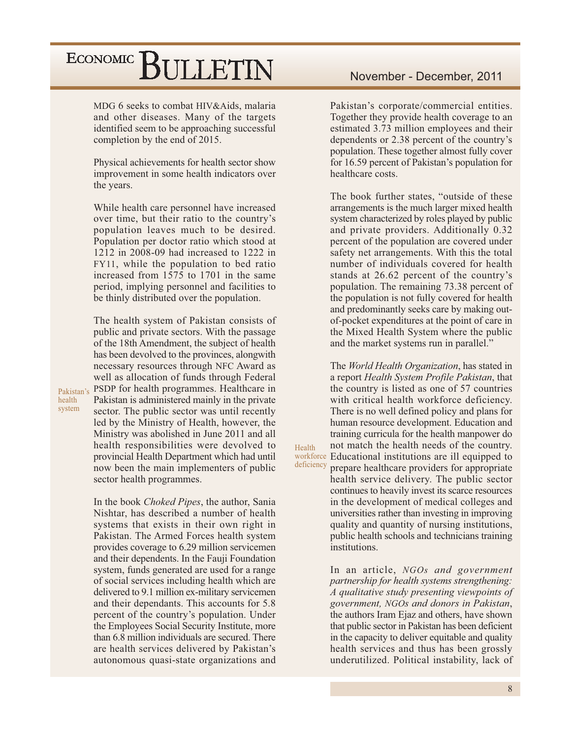MDG 6 seeks to combat HIV&Aids, malaria and other diseases. Many of the targets identified seem to be approaching successful completion by the end of 2015.

Physical achievements for health sector show improvement in some health indicators over the years.

While health care personnel have increased over time, but their ratio to the country's population leaves much to be desired. Population per doctor ratio which stood at 1212 in 2008-09 had increased to 1222 in FY11, while the population to bed ratio increased from 1575 to 1701 in the same period, implying personnel and facilities to be thinly distributed over the population.

The health system of Pakistan consists of public and private sectors. With the passage of the 18th Amendment, the subject of health has been devolved to the provinces, alongwith necessary resources through NFC Award as well as allocation of funds through Federal PSDP for health programmes. Healthcare in Pakistan is administered mainly in the private sector. The public sector was until recently led by the Ministry of Health, however, the Ministry was abolished in June 2011 and all health responsibilities were devolved to

provincial Health Department which had until now been the main implementers of public sector health programmes. In the book Choked Pipes, the author, Sania Nishtar, has described a number of health systems that exists in their own right in Pakistan. The Armed Forces health system provides coverage to 6.29 million servicemen and their dependents. In the Fauji Foundation system, funds generated are used for a range of social services including health which are delivered to 9.1 million ex-military servicemen

and their dependants. This accounts for 5.8 percent of the country's population. Under the Employees Social Security Institute, more than 6.8 million individuals are secured. There are health services delivered by Pakistan's autonomous quasi-state organizations and Pakistan's corporate/commercial entities. Together they provide health coverage to an estimated 3.73 million employees and their dependents or 2.38 percent of the country's population. These together almost fully cover for 16.59 percent of Pakistan's population for healthcare costs.

The book further states, "outside of these arrangements is the much larger mixed health system characterized by roles played by public and private providers. Additionally 0.32 percent of the population are covered under safety net arrangements. With this the total number of individuals covered for health stands at 26.62 percent of the country's population. The remaining 73.38 percent of the population is not fully covered for health and predominantly seeks care by making outof-pocket expenditures at the point of care in the Mixed Health System where the public and the market systems run in parallel."

The *World Health Organization*, has stated in a report Health System Profile Pakistan, that the country is listed as one of 57 countries with critical health workforce deficiency. There is no well defined policy and plans for human resource development. Education and training curricula for the health manpower do not match the health needs of the country. workforce Educational institutions are ill equipped to prepare healthcare providers for appropriate health service delivery. The public sector continues to heavily invest its scarce resources in the development of medical colleges and universities rather than investing in improving quality and quantity of nursing institutions, public health schools and technicians training institutions

Health

deficiency

In an article, NGOs and government partnership for health systems strengthening: A qualitative study presenting viewpoints of government, NGOs and donors in Pakistan, the authors Iram Ejaz and others, have shown that public sector in Pakistan has been deficient in the capacity to deliver equitable and quality health services and thus has been grossly underutilized. Political instability, lack of

Pakistan's health system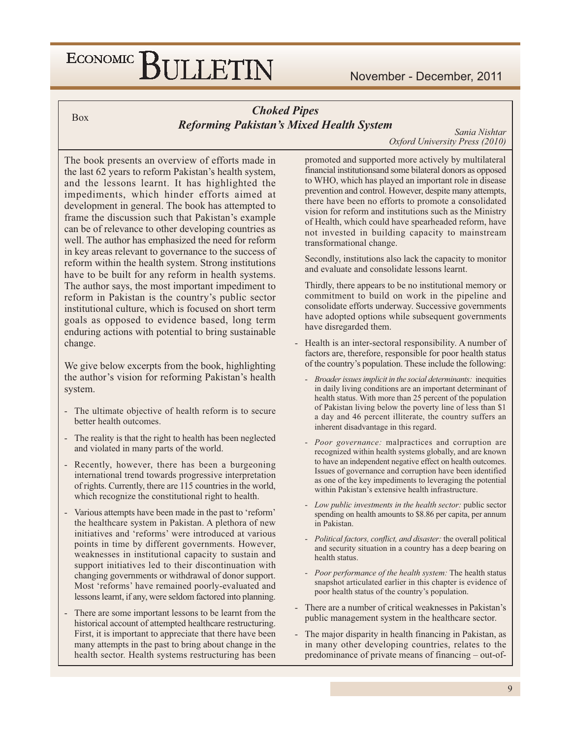**Box** 

#### **Choked Pipes Reforming Pakistan's Mixed Health System**

Sania Nishtar Oxford University Press (2010)

The book presents an overview of efforts made in the last 62 years to reform Pakistan's health system, and the lessons learnt. It has highlighted the impediments, which hinder efforts aimed at development in general. The book has attempted to frame the discussion such that Pakistan's example can be of relevance to other developing countries as well. The author has emphasized the need for reform in key areas relevant to governance to the success of reform within the health system. Strong institutions have to be built for any reform in health systems. The author says, the most important impediment to reform in Pakistan is the country's public sector institutional culture, which is focused on short term goals as opposed to evidence based, long term enduring actions with potential to bring sustainable change.

We give below excerpts from the book, highlighting the author's vision for reforming Pakistan's health system.

- The ultimate objective of health reform is to secure better health outcomes.
- The reality is that the right to health has been neglected and violated in many parts of the world.
- Recently, however, there has been a burgeoning international trend towards progressive interpretation of rights. Currently, there are 115 countries in the world, which recognize the constitutional right to health.
- Various attempts have been made in the past to 'reform' the healthcare system in Pakistan. A plethora of new initiatives and 'reforms' were introduced at various points in time by different governments. However, weaknesses in institutional capacity to sustain and support initiatives led to their discontinuation with changing governments or withdrawal of donor support. Most 'reforms' have remained poorly-evaluated and lessons learnt, if any, were seldom factored into planning.
- There are some important lessons to be learnt from the historical account of attempted healthcare restructuring. First, it is important to appreciate that there have been many attempts in the past to bring about change in the health sector. Health systems restructuring has been

promoted and supported more actively by multilateral financial institutions and some bilateral donors as opposed to WHO, which has played an important role in disease prevention and control. However, despite many attempts, there have been no efforts to promote a consolidated vision for reform and institutions such as the Ministry of Health, which could have spearheaded reform, have not invested in building capacity to mainstream transformational change.

Secondly, institutions also lack the capacity to monitor and evaluate and consolidate lessons learnt.

Thirdly, there appears to be no institutional memory or commitment to build on work in the pipeline and consolidate efforts underway. Successive governments have adopted options while subsequent governments have disregarded them.

- Health is an inter-sectoral responsibility. A number of factors are, therefore, responsible for poor health status of the country's population. These include the following:
	- Broader issues implicit in the social determinants: inequities in daily living conditions are an important determinant of health status. With more than 25 percent of the population of Pakistan living below the poverty line of less than \$1 a day and 46 percent illiterate, the country suffers an inherent disadvantage in this regard.
	- Poor governance: malpractices and corruption are recognized within health systems globally, and are known to have an independent negative effect on health outcomes. Issues of governance and corruption have been identified as one of the key impediments to leveraging the potential within Pakistan's extensive health infrastructure.
	- Low public investments in the health sector: public sector spending on health amounts to \$8.86 per capita, per annum in Pakistan.
	- Political factors, conflict, and disaster: the overall political and security situation in a country has a deep bearing on health status.
	- Poor performance of the health system: The health status snapshot articulated earlier in this chapter is evidence of poor health status of the country's population.
- There are a number of critical weaknesses in Pakistan's public management system in the healthcare sector.
- The major disparity in health financing in Pakistan, as in many other developing countries, relates to the predominance of private means of financing – out-of-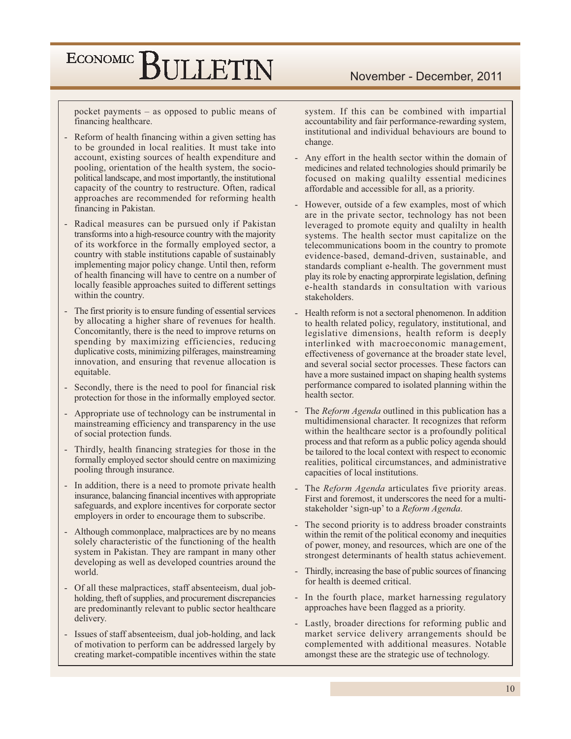pocket payments – as opposed to public means of financing healthcare.

- Reform of health financing within a given setting has to be grounded in local realities. It must take into account, existing sources of health expenditure and pooling, orientation of the health system, the sociopolitical landscape, and most importantly, the institutional capacity of the country to restructure. Often, radical approaches are recommended for reforming health financing in Pakistan.
- Radical measures can be pursued only if Pakistan transforms into a high-resource country with the majority of its workforce in the formally employed sector, a country with stable institutions capable of sustainably implementing major policy change. Until then, reform of health financing will have to centre on a number of locally feasible approaches suited to different settings within the country.
- The first priority is to ensure funding of essential services by allocating a higher share of revenues for health. Concomitantly, there is the need to improve returns on spending by maximizing efficiencies, reducing duplicative costs, minimizing pilferages, mainstreaming innovation, and ensuring that revenue allocation is equitable.
- Secondly, there is the need to pool for financial risk protection for those in the informally employed sector.
- Appropriate use of technology can be instrumental in mainstreaming efficiency and transparency in the use of social protection funds.
- Thirdly, health financing strategies for those in the formally employed sector should centre on maximizing pooling through insurance.
- In addition, there is a need to promote private health insurance, balancing financial incentives with appropriate safeguards, and explore incentives for corporate sector employers in order to encourage them to subscribe.
- Although commonplace, malpractices are by no means solely characteristic of the functioning of the health system in Pakistan. They are rampant in many other developing as well as developed countries around the world.
- Of all these malpractices, staff absenteeism, dual jobholding, theft of supplies, and procurement discrepancies are predominantly relevant to public sector healthcare delivery.
- Issues of staff absenteeism, dual job-holding, and lack of motivation to perform can be addressed largely by creating market-compatible incentives within the state

system. If this can be combined with impartial accountability and fair performance-rewarding system, institutional and individual behaviours are bound to change.

- Any effort in the health sector within the domain of medicines and related technologies should primarily be focused on making qualilty essential medicines affordable and accessible for all, as a priority.
- However, outside of a few examples, most of which are in the private sector, technology has not been leveraged to promote equity and qualilty in health systems. The health sector must capitalize on the telecommunications boom in the country to promote evidence-based, demand-driven, sustainable, and standards compliant e-health. The government must play its role by enacting approrpirate legislation, defining e-health standards in consultation with various stakeholders
- Health reform is not a sectoral phenomenon. In addition to health related policy, regulatory, institutional, and legislative dimensions, health reform is deeply interlinked with macroeconomic management, effectiveness of governance at the broader state level, and several social sector processes. These factors can have a more sustained impact on shaping health systems performance compared to isolated planning within the health sector.
- The Reform Agenda outlined in this publication has a multidimensional character. It recognizes that reform within the healthcare sector is a profoundly political process and that reform as a public policy agenda should be tailored to the local context with respect to economic realities, political circumstances, and administrative capacities of local institutions.
- The Reform Agenda articulates five priority areas. First and foremost, it underscores the need for a multistakeholder 'sign-up' to a Reform Agenda.
- The second priority is to address broader constraints within the remit of the political economy and inequities of power, money, and resources, which are one of the strongest determinants of health status achievement.
- Thirdly, increasing the base of public sources of financing for health is deemed critical.
- In the fourth place, market harnessing regulatory approaches have been flagged as a priority.
- Lastly, broader directions for reforming public and market service delivery arrangements should be complemented with additional measures. Notable amongst these are the strategic use of technology.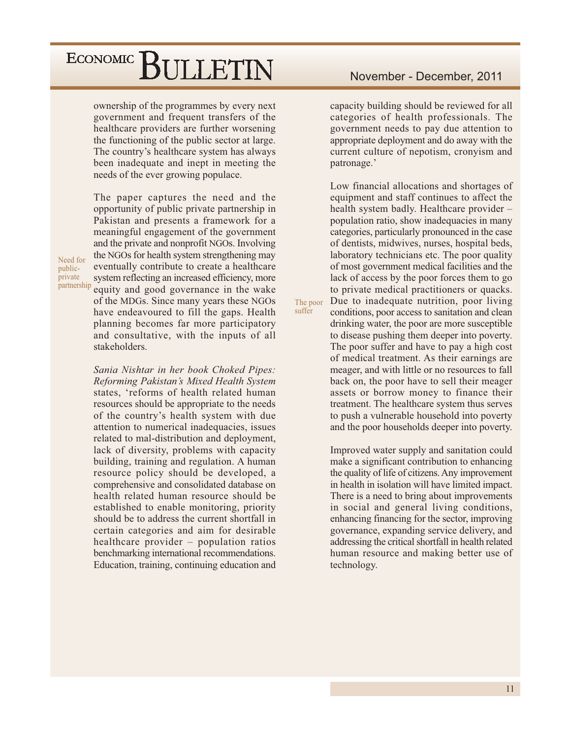ownership of the programmes by every next government and frequent transfers of the healthcare providers are further worsening the functioning of the public sector at large. The country's healthcare system has always been inadequate and inept in meeting the needs of the ever growing populace.

The paper captures the need and the opportunity of public private partnership in Pakistan and presents a framework for a meaningful engagement of the government and the private and nonprofit NGOs. Involving the NGOs for health system strengthening may eventually contribute to create a healthcare system reflecting an increased efficiency, more equity and good governance in the wake of the MDGs. Since many years these NGOs have endeavoured to fill the gaps. Health planning becomes far more participatory and consultative, with the inputs of all stakeholders.

Sania Nishtar in her book Choked Pipes: Reforming Pakistan's Mixed Health System states, 'reforms of health related human resources should be appropriate to the needs of the country's health system with due attention to numerical inadequacies, issues related to mal-distribution and deployment, lack of diversity, problems with capacity building, training and regulation. A human resource policy should be developed, a comprehensive and consolidated database on health related human resource should be established to enable monitoring, priority should be to address the current shortfall in certain categories and aim for desirable healthcare provider - population ratios benchmarking international recommendations. Education, training, continuing education and

capacity building should be reviewed for all categories of health professionals. The government needs to pay due attention to appropriate deployment and do away with the current culture of nepotism, cronyism and patronage.'

Low financial allocations and shortages of equipment and staff continues to affect the health system badly. Healthcare provider population ratio, show inadequacies in many categories, particularly pronounced in the case of dentists, midwives, nurses, hospital beds, laboratory technicians etc. The poor quality of most government medical facilities and the lack of access by the poor forces them to go to private medical practitioners or quacks. Due to inadequate nutrition, poor living conditions, poor access to sanitation and clean drinking water, the poor are more susceptible to disease pushing them deeper into poverty. The poor suffer and have to pay a high cost of medical treatment. As their earnings are meager, and with little or no resources to fall back on, the poor have to sell their meager assets or borrow money to finance their treatment. The healthcare system thus serves to push a vulnerable household into poverty and the poor households deeper into poverty.

The poor suffer

> Improved water supply and sanitation could make a significant contribution to enhancing the quality of life of citizens. Any improvement in health in isolation will have limited impact. There is a need to bring about improvements in social and general living conditions, enhancing financing for the sector, improving governance, expanding service delivery, and addressing the critical shortfall in health related human resource and making better use of technology.

Need for publicprivate partnership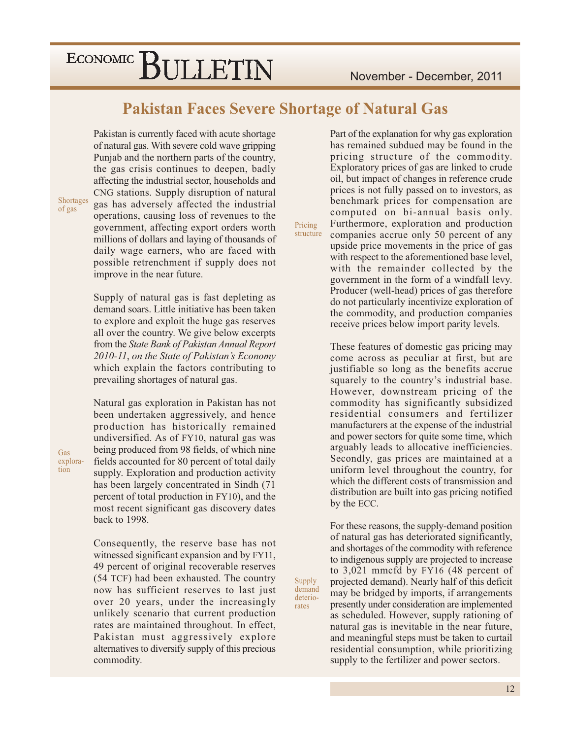**Pakistan Faces Severe Shortage of Natural Gas** 

Pricing

Supply

demand

deterio-

rates

Pakistan is currently faced with acute shortage of natural gas. With severe cold wave gripping Punjab and the northern parts of the country, the gas crisis continues to deepen, badly affecting the industrial sector, households and CNG stations. Supply disruption of natural gas has adversely affected the industrial operations, causing loss of revenues to the government, affecting export orders worth millions of dollars and laying of thousands of daily wage earners, who are faced with possible retrenchment if supply does not improve in the near future.

Supply of natural gas is fast depleting as demand soars. Little initiative has been taken to explore and exploit the huge gas reserves all over the country. We give below excerpts from the State Bank of Pakistan Annual Report 2010-11, on the State of Pakistan's Economy which explain the factors contributing to prevailing shortages of natural gas.

Natural gas exploration in Pakistan has not been undertaken aggressively, and hence production has historically remained undiversified. As of FY10, natural gas was being produced from 98 fields, of which nine fields accounted for 80 percent of total daily supply. Exploration and production activity has been largely concentrated in Sindh (71 percent of total production in FY10), and the most recent significant gas discovery dates back to 1998.

Consequently, the reserve base has not witnessed significant expansion and by FY11, 49 percent of original recoverable reserves (54 TCF) had been exhausted. The country now has sufficient reserves to last just over 20 years, under the increasingly unlikely scenario that current production rates are maintained throughout. In effect, Pakistan must aggressively explore alternatives to diversify supply of this precious commodity.

Part of the explanation for why gas exploration has remained subdued may be found in the pricing structure of the commodity. Exploratory prices of gas are linked to crude oil, but impact of changes in reference crude prices is not fully passed on to investors, as benchmark prices for compensation are computed on bi-annual basis only. Furthermore, exploration and production structure companies accrue only 50 percent of any upside price movements in the price of gas with respect to the aforementioned base level, with the remainder collected by the government in the form of a windfall levy. Producer (well-head) prices of gas therefore do not particularly incentivize exploration of the commodity, and production companies receive prices below import parity levels.

> These features of domestic gas pricing may come across as peculiar at first, but are justifiable so long as the benefits accrue squarely to the country's industrial base. However, downstream pricing of the commodity has significantly subsidized residential consumers and fertilizer manufacturers at the expense of the industrial and power sectors for quite some time, which arguably leads to allocative inefficiencies. Secondly, gas prices are maintained at a uniform level throughout the country, for which the different costs of transmission and distribution are built into gas pricing notified by the ECC.

> For these reasons, the supply-demand position of natural gas has deteriorated significantly, and shortages of the commodity with reference to indigenous supply are projected to increase to  $3,021$  mmcfd by FY16 (48 percent of projected demand). Nearly half of this deficit may be bridged by imports, if arrangements presently under consideration are implemented as scheduled. However, supply rationing of natural gas is inevitable in the near future, and meaningful steps must be taken to curtail residential consumption, while prioritizing supply to the fertilizer and power sectors.

Shortages

of gas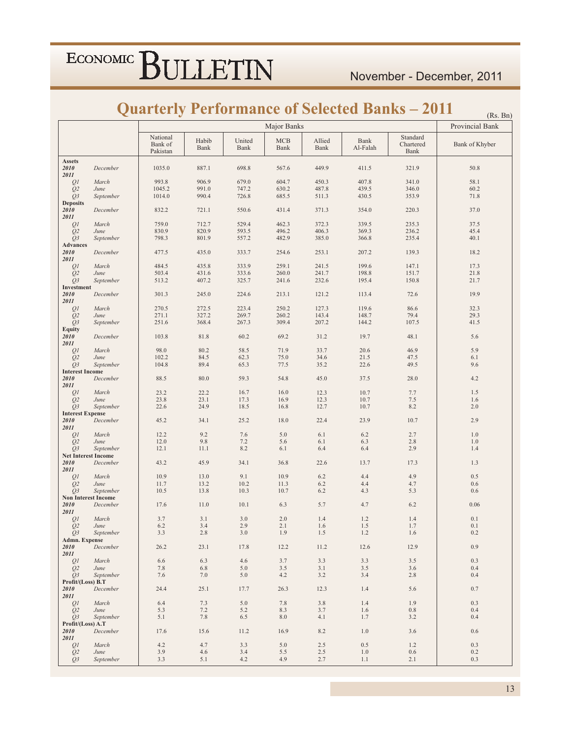### **Quarterly Performance of Selected Banks - 2011**

|                                          |                            |                                 |               |                |                    |                |                  | Quarterly Periormance of Selected Banks – 2011 | (Rs. Bn)        |
|------------------------------------------|----------------------------|---------------------------------|---------------|----------------|--------------------|----------------|------------------|------------------------------------------------|-----------------|
|                                          |                            |                                 |               |                | Major Banks        |                |                  |                                                | Provincial Bank |
|                                          |                            | National<br>Bank of<br>Pakistan | Habib<br>Bank | United<br>Bank | <b>MCB</b><br>Bank | Allied<br>Bank | Bank<br>Al-Falah | Standard<br>Chartered<br>Bank                  | Bank of Khyber  |
| <b>Assets</b><br>2010<br>2011            | December                   | 1035.0                          | 887.1         | 698.8          | 567.6              | 449.9          | 411.5            | 321.9                                          | 50.8            |
| QI                                       | March                      | 993.8                           | 906.9         | 679.0          | 604.7              | 450.3          | 407.8            | 341.0                                          | 58.1            |
| Q <sub>2</sub>                           | June                       | 1045.2                          | 991.0         | 747.2          | 630.2              | 487.8          | 439.5            | 346.0                                          | 60.2            |
| $Q_3$<br><b>Deposits</b>                 | September                  | 1014.0                          | 990.4         | 726.8          | 685.5              | 511.3          | 430.5            | 353.9                                          | 71.8            |
| 2010<br>2011                             | December                   | 832.2                           | 721.1         | 550.6          | 431.4              | 371.3          | 354.0            | 220.3                                          | 37.0            |
| QI                                       | March                      | 759.0                           | 712.7         | 529.4          | 462.3              | 372.3          | 339.5            | 235.3                                          | 37.5            |
| Q <sub>2</sub>                           | June                       | 830.9                           | 820.9         | 593.5          | 496.2              | 406.3          | 369.3            | 236.2                                          | 45.4            |
| Q3                                       | September                  | 798.3                           | 801.9         | 557.2          | 482.9              | 385.0          | 366.8            | 235.4                                          | 40.1            |
| <b>Advances</b><br>2010<br>2011          | December                   | 477.5                           | 435.0         | 333.7          | 254.6              | 253.1          | 207.2            | 139.3                                          | 18.2            |
| QI                                       | March                      | 484.5                           | 435.8         | 333.9          | 259.1              | 241.5          | 199.6            | 147.1                                          | 17.3            |
| Q <sub>2</sub>                           | June                       | 503.4                           | 431.6         | 333.6          | 260.0              | 241.7          | 198.8            | 151.7                                          | 21.8            |
| $Q_3$                                    | September                  | 513.2                           | 407.2         | 325.7          | 241.6              | 232.6          | 195.4            | 150.8                                          | 21.7            |
| Investment<br>2010<br>2011               | December                   | 301.3                           | 245.0         | 224.6          | 213.1              | 121.2          | 113.4            | 72.6                                           | 19.9            |
| Q1                                       | March                      | 270.5                           | 272.5         | 223.4          | 250.2              | 127.3          | 119.6            | 86.6                                           | 32.3            |
| Q <sub>2</sub>                           | June                       | 271.1                           | 327.2         | 269.7          | 260.2              | 143.4          | 148.7            | 79.4                                           | 29.3            |
| Q <sub>3</sub><br><b>Equity</b><br>2010  | September<br>December      | 251.6                           | 368.4         | 267.3          | 309.4              | 207.2          | 144.2            | 107.5                                          | 41.5            |
| 2011                                     |                            | 103.8                           | 81.8          | 60.2           | 69.2               | 31.2           | 19.7             | 48.1                                           | 5.6             |
| QI                                       | March                      | 98.0                            | 80.2          | 58.5           | 71.9               | 33.7           | 20.6             | 46.9                                           | 5.9             |
| Q <sub>2</sub>                           | June                       | 102.2                           | 84.5          | 62.3           | 75.0               | 34.6           | 21.5             | 47.5                                           | 6.1             |
| Q3                                       | September                  | 104.8                           | 89.4          | 65.3           | 77.5               | 35.2           | 22.6             | 49.5                                           | 9.6             |
| <b>Interest Income</b><br>2010<br>2011   | December                   | 88.5                            | 80.0          | 59.3           | 54.8               | 45.0           | 37.5             | 28.0                                           | 4.2             |
| QI                                       | March                      | 23.2                            | 22.2          | 16.7           | 16.0               | 12.3           | 10.7             | 7.7                                            | 1.5             |
| Q <sub>2</sub>                           | June                       | 23.8                            | 23.1          | 17.3           | 16.9               | 12.3           | 10.7             | 7.5                                            | 1.6             |
| $Q_3$<br><b>Interest Expense</b><br>2010 | September<br>December      | 22.6<br>45.2                    | 24.9<br>34.1  | 18.5<br>25.2   | 16.8<br>18.0       | 12.7<br>22.4   | 10.7<br>23.9     | 8.2<br>10.7                                    | 2.0<br>2.9      |
| 2011                                     |                            |                                 |               |                |                    |                |                  |                                                |                 |
| QI<br>Q <sub>2</sub>                     | March<br>June              | 12.2<br>12.0                    | 9.2<br>9.8    | 7.6<br>7.2     | 5.0<br>5.6         | 6.1<br>6.1     | 6.2<br>6.3       | 2.7<br>2.8                                     | 1.0<br>1.0      |
| Q3                                       | September                  | 12.1                            | 11.1          | 8.2            | 6.1                | 6.4            | 6.4              | 2.9                                            | 1.4             |
|                                          | <b>Net Interest Income</b> |                                 |               |                |                    |                |                  |                                                |                 |
| 2010<br>2011                             | December                   | 43.2                            | 45.9          | 34.1           | 36.8               | 22.6           | 13.7             | 17.3                                           | 1.3             |
| QI<br>Q <sub>2</sub>                     | March<br>June              | 10.9<br>11.7                    | 13.0<br>13.2  | 9.1<br>10.2    | 10.9<br>11.3       | 6.2<br>6.2     | 4.4<br>4.4       | 4.9<br>4.7                                     | 0.5<br>0.6      |
| $Q_3$                                    | September                  | 10.5                            | 13.8          | 10.3           | 10.7               | 6.2            | 4.3              | 5.3                                            | 0.6             |
|                                          | <b>Non Interest Income</b> |                                 |               |                |                    |                |                  |                                                |                 |
| 2010<br>2011                             | December                   | 17.6                            | 11.0          | 10.1           | 6.3                | 5.7            | 4.7              | 6.2                                            | 0.06            |
| Q <sub>1</sub>                           | March                      | 3.7                             | 3.1           | 3.0            | 2.0                | 1.4            | 1.2              | 1.4                                            | 0.1             |
| Q <sub>2</sub><br>$Q_3$                  | June<br>September          | 6.2<br>3.3                      | 3.4<br>2.8    | 2.9<br>3.0     | 2.1<br>1.9         | 1.6<br>1.5     | 1.5<br>1.2       | 1.7<br>1.6                                     | 0.1<br>0.2      |
| Admn. Expense<br>2010                    | December                   | 26.2                            | 23.1          | 17.8           | 12.2               | 11.2           | 12.6             | 12.9                                           | 0.9             |
| 2011                                     |                            |                                 |               |                |                    |                |                  |                                                |                 |
| QI<br>Q <sub>2</sub>                     | March<br>June              | 6.6<br>7.8                      | 6.3<br>6.8    | 4.6<br>5.0     | 3.7<br>3.5         | 3.3<br>3.1     | 3.3<br>3.5       | 3.5<br>3.6                                     | 0.3<br>0.4      |
| $Q_3$                                    | September                  | 7.6                             | 7.0           | 5.0            | 4.2                | 3.2            | 3.4              | 2.8                                            | 0.4             |
| Profit/(Loss) B.T                        |                            |                                 |               |                |                    |                |                  |                                                |                 |
| 2010<br>2011                             | December                   | 24.4                            | 25.1          | 17.7           | 26.3               | 12.3           | 1.4              | 5.6                                            | 0.7             |
| Q <sub>I</sub><br>Q <sub>2</sub>         | March<br>June              | 6.4<br>5.3                      | 7.3<br>7.2    | 5.0<br>5.2     | 7.8<br>8.3         | 3.8<br>3.7     | 1.4<br>1.6       | 1.9<br>$0.8\,$                                 | 0.3<br>0.4      |
| $Q_3$                                    | September                  | 5.1                             | 7.8           | 6.5            | $8.0\,$            | 4.1            | 1.7              | 3.2                                            | 0.4             |
| Profit/(Loss) A.T<br>2010                | December                   | 17.6                            | 15.6          | 11.2           | 16.9               | 8.2            | 1.0              | 3.6                                            | 0.6             |
| 2011                                     |                            |                                 |               |                |                    |                |                  |                                                |                 |
| QI<br>Q <sub>2</sub>                     | March<br>June              | 4.2<br>3.9                      | 4.7<br>4.6    | 3.3<br>3.4     | 5.0<br>5.5         | 2.5<br>2.5     | 0.5<br>1.0       | 1.2<br>0.6                                     | 0.3<br>0.2      |
| $Q_3$                                    | September                  | 3.3                             | 5.1           | 4.2            | 4.9                | 2.7            | 1.1              | 2.1                                            | 0.3             |
|                                          |                            |                                 |               |                |                    |                |                  |                                                |                 |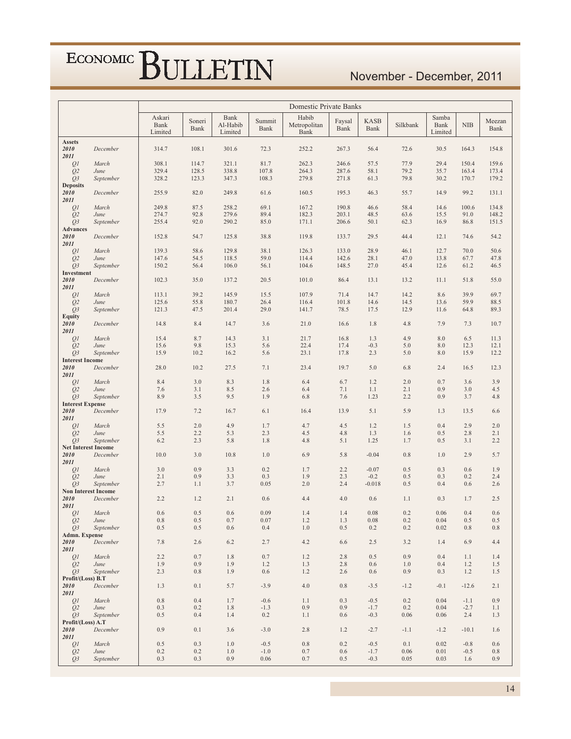#### November - December, 2011

|                                    |                                         |                           |                |                             |                  | Domestic Private Banks        |                |                     |                |                          |                  |                |
|------------------------------------|-----------------------------------------|---------------------------|----------------|-----------------------------|------------------|-------------------------------|----------------|---------------------|----------------|--------------------------|------------------|----------------|
|                                    |                                         | Askari<br>Bank<br>Limited | Soneri<br>Bank | Bank<br>Al-Habib<br>Limited | Summit<br>Bank   | Habib<br>Metropolitan<br>Bank | Faysal<br>Bank | <b>KASB</b><br>Bank | Silkbank       | Samba<br>Bank<br>Limited | NIB              | Meezan<br>Bank |
| <b>Assets</b>                      |                                         |                           |                |                             |                  |                               |                |                     |                |                          |                  |                |
| 2010<br>2011                       | December                                | 314.7                     | 108.1          | 301.6                       | 72.3             | 252.2                         | 267.3          | 56.4                | 72.6           | 30.5                     | 164.3            | 154.8          |
| QI                                 | March                                   | 308.1                     | 114.7          | 321.1                       | 81.7             | 262.3                         | 246.6          | 57.5                | 77.9           | 29.4                     | 150.4            | 159.6          |
| Q <sub>2</sub>                     | June                                    | 329.4                     | 128.5          | 338.8                       | 107.8            | 264.3                         | 287.6          | 58.1                | 79.2           | 35.7                     | 163.4            | 173.4          |
| $Q_3$                              | September                               | 328.2                     | 123.3          | 347.3                       | 108.3            | 279.8                         | 271.8          | 61.3                | 79.8           | 30.2                     | 170.7            | 179.2          |
| <b>Deposits</b><br>2010            | December                                | 255.9                     | 82.0           | 249.8                       | 61.6             | 160.5                         | 195.3          | 46.3                | 55.7           | 14.9                     | 99.2             | 131.1          |
| 2011                               |                                         |                           |                |                             |                  |                               |                |                     |                |                          |                  |                |
| QI                                 | March                                   | 249.8                     | 87.5           | 258.2                       | 69.1             | 167.2                         | 190.8          | 46.6                | 58.4           | 14.6                     | 100.6            | 134.8          |
| Q <sub>2</sub>                     | June                                    | 274.7                     | 92.8           | 279.6                       | 89.4             | 182.3                         | 203.1          | 48.5                | 63.6           | 15.5                     | 91.0             | 148.2          |
| $Q_3$<br><b>Advances</b>           | September                               | 255.4                     | 92.0           | 290.2                       | 85.0             | 171.1                         | 206.6          | 50.1                | 62.3           | 16.9                     | 86.8             | 151.5          |
| 2010                               | December                                | 152.8                     | 54.7           | 125.8                       | 38.8             | 119.8                         | 133.7          | 29.5                | 44.4           | 12.1                     | 74.6             | 54.2           |
| 2011                               |                                         |                           |                |                             |                  |                               |                |                     |                |                          |                  |                |
| QI                                 | March                                   | 139.3<br>147.6            | 58.6<br>54.5   | 129.8<br>118.5              | 38.1<br>59.0     | 126.3<br>114.4                | 133.0<br>142.6 | 28.9<br>28.1        | 46.1<br>47.0   | 12.7<br>13.8             | 70.0<br>67.7     | 50.6<br>47.8   |
| Q <sub>2</sub><br>Q3               | June<br>September                       | 150.2                     | 56.4           | 106.0                       | 56.1             | 104.6                         | 148.5          | 27.0                | 45.4           | 12.6                     | 61.2             | 46.5           |
| Investment                         |                                         |                           |                |                             |                  |                               |                |                     |                |                          |                  |                |
| 2010                               | December                                | 102.3                     | 35.0           | 137.2                       | 20.5             | 101.0                         | 86.4           | 13.1                | 13.2           | 11.1                     | 51.8             | 55.0           |
| 2011<br>QI                         | March                                   | 113.1                     | 39.2           | 145.9                       | 15.5             | 107.9                         | 71.4           | 14.7                | 14.2           | 8.6                      | 39.9             | 69.7           |
| Q2                                 | June                                    | 125.6                     | 55.8           | 180.7                       | 26.4             | 116.4                         | 101.8          | 14.6                | 14.5           | 13.6                     | 59.9             | 88.5           |
| $Q_3$                              | September                               | 121.3                     | 47.5           | 201.4                       | 29.0             | 141.7                         | 78.5           | 17.5                | 12.9           | 11.6                     | 64.8             | 89.3           |
| <b>Equity</b>                      |                                         |                           |                |                             |                  |                               |                |                     |                |                          |                  |                |
| 2010<br>2011                       | December                                | 14.8                      | 8.4            | 14.7                        | 3.6              | 21.0                          | 16.6           | 1.8                 | 4.8            | 7.9                      | 7.3              | 10.7           |
| QI                                 | March                                   | 15.4                      | 8.7            | 14.3                        | 3.1              | 21.7                          | 16.8           | 1.3                 | 4.9            | 8.0                      | 6.5              | 11.3           |
| Q <sub>2</sub>                     | June                                    | 15.6                      | 9.8            | 15.3                        | 5.6              | 22.4                          | 17.4           | $-0.3$              | 5.0            | 8.0                      | 12.3             | 12.1           |
| $Q_3$<br><b>Interest Income</b>    | September                               | 15.9                      | 10.2           | 16.2                        | 5.6              | 23.1                          | 17.8           | 2.3                 | 5.0            | 8.0                      | 15.9             | 12.2           |
| 2010                               | December                                | 28.0                      | 10.2           | 27.5                        | 7.1              | 23.4                          | 19.7           | 5.0                 | 6.8            | 2.4                      | 16.5             | 12.3           |
| 2011                               |                                         |                           |                |                             |                  |                               |                |                     |                |                          |                  |                |
| QI                                 | March                                   | 8.4                       | 3.0            | 8.3                         | 1.8              | 6.4                           | 6.7            | 1.2                 | 2.0            | 0.7                      | 3.6              | 3.9            |
| Q <sub>2</sub><br>$Q_3$            | June<br>September                       | 7.6<br>8.9                | 3.1<br>3.5     | 8.5<br>9.5                  | 2.6<br>1.9       | 6.4<br>6.8                    | 7.1<br>7.6     | 1.1<br>1.23         | 2.1<br>2.2     | 0.9<br>0.9               | 3.0<br>3.7       | 4.5<br>4.8     |
| <b>Interest Expense</b>            |                                         |                           |                |                             |                  |                               |                |                     |                |                          |                  |                |
| 2010                               | December                                | 17.9                      | 7.2            | 16.7                        | 6.1              | 16.4                          | 13.9           | 5.1                 | 5.9            | 1.3                      | 13.5             | 6.6            |
| 2011<br>QI                         | March                                   | 5.5                       | 2.0            | 4.9                         | 1.7              | 4.7                           | 4.5            | 1.2                 | 1.5            | 0.4                      | 2.9              | 2.0            |
| Q <sub>2</sub>                     | June                                    | 5.5                       | 2.2            | 5.3                         | 2.3              | 4.5                           | 4.8            | 1.3                 | 1.6            | 0.5                      | 2.8              | 2.1            |
| $Q_3$                              | September                               | 6.2                       | 2.3            | 5.8                         | 1.8              | 4.8                           | 5.1            | 1.25                | 1.7            | 0.5                      | 3.1              | 2.2            |
| <b>Net Interest Income</b><br>2010 | December                                | 10.0                      | 3.0            | 10.8                        | 1.0              | 6.9                           | 5.8            | $-0.04$             | 0.8            | 1.0                      | 2.9              | 5.7            |
| 2011                               |                                         |                           |                |                             |                  |                               |                |                     |                |                          |                  |                |
| QI                                 | March                                   | 3.0                       | 0.9            | 3.3                         | 0.2              | 1.7                           | 2.2            | $-0.07$             | 0.5            | 0.3                      | 0.6              | 1.9            |
| Q <sub>2</sub>                     | June                                    | 2.1                       | 0.9            | 3.3                         | 0.3              | 1.9                           | 2.3            | $-0.2$              | 0.5            | 0.3                      | 0.2              | 2.4            |
| $Q_3$                              | September<br><b>Non Interest Income</b> | 2.7                       | 1.1            | 3.7                         | 0.05             | 2.0                           | 2.4            | $-0.018$            | 0.5            | 0.4                      | 0.6              | 2.6            |
| 2010                               | December                                | 2.2                       | 1.2            | 2.1                         | 0.6              | 4.4                           | 4.0            | 0.6                 | 1.1            | 0.3                      | 1.7              | 2.5            |
| 2011                               |                                         |                           |                |                             |                  |                               |                |                     |                |                          |                  |                |
| QI<br>Q2                           | March<br>June                           | 0.6<br>$\rm 0.8$          | 0.5<br>$0.5\,$ | 0.6<br>0.7                  | 0.09<br>0.07     | 1.4<br>$1.2\,$                | 1.4<br>1.3     | 0.08<br>$0.08\,$    | 0.2<br>$0.2\,$ | 0.06<br>0.04             | 0.4<br>$0.5\,$   | 0.6<br>0.5     |
| $Q_3$                              | September                               | 0.5                       | 0.5            | 0.6                         | 0.4              | 1.0                           | 0.5            | 0.2                 | 0.2            | 0.02                     | 0.8              | 0.8            |
| Admn. Expense                      |                                         |                           |                |                             |                  |                               |                |                     |                |                          |                  |                |
| 2010<br>2011                       | December                                | 7.8                       | 2.6            | 6.2                         | 2.7              | 4.2                           | 6.6            | 2.5                 | 3.2            | 1.4                      | 6.9              | 4.4            |
| QI                                 | March                                   | 2.2                       | 0.7            | 1.8                         | 0.7              | 1.2                           | 2.8            | 0.5                 | 0.9            | 0.4                      | 1.1              | 1.4            |
| Q <sub>2</sub>                     | June                                    | 1.9                       | 0.9            | 1.9                         | 1.2              | 1.3                           | 2.8            | 0.6                 | 1.0            | 0.4                      | 1.2              | 1.5            |
| Q <sub>3</sub>                     | September                               | 2.3                       | 0.8            | 1.9                         | 0.6              | 1.2                           | 2.6            | 0.6                 | 0.9            | 0.3                      | 1.2              | 1.5            |
| Profit/(Loss) B.T<br>2010          | December                                | 1.3                       | 0.1            | 5.7                         | $-3.9$           | 4.0                           | 0.8            | $-3.5$              | $-1.2$         | $-0.1$                   | $-12.6$          | 2.1            |
| 2011                               |                                         |                           |                |                             |                  |                               |                |                     |                |                          |                  |                |
| QI                                 | March                                   | 0.8                       | 0.4            | 1.7                         | $-0.6$           | 1.1                           | 0.3            | $-0.5$              | 0.2            | 0.04                     | $-1.1$           | 0.9            |
| Q <sub>2</sub>                     | June<br>September                       | 0.3<br>0.5                | 0.2<br>0.4     | 1.8<br>1.4                  | $-1.3$<br>0.2    | 0.9<br>1.1                    | 0.9<br>0.6     | $-1.7$<br>$-0.3$    | 0.2            | 0.04<br>0.06             | $-2.7$<br>2.4    | 1.1<br>1.3     |
| $Q_3$<br>Profit/(Loss) A.T         |                                         |                           |                |                             |                  |                               |                |                     | 0.06           |                          |                  |                |
| 2010                               | December                                | 0.9                       | 0.1            | 3.6                         | $-3.0$           | 2.8                           | 1.2            | $-2.7$              | $-1.1$         | $-1.2$                   | $-10.1$          | 1.6            |
| 2011                               |                                         |                           |                |                             |                  |                               |                |                     |                |                          |                  |                |
| QI<br>Q <sub>2</sub>               | March<br>June                           | 0.5<br>0.2                | 0.3<br>0.2     | 1.0<br>1.0                  | $-0.5$<br>$-1.0$ | $0.8\,$<br>0.7                | 0.2<br>0.6     | $-0.5$<br>$-1.7$    | 0.1<br>0.06    | 0.02<br>0.01             | $-0.8$<br>$-0.5$ | 0.6<br>0.8     |
| $Q_3$                              | September                               | 0.3                       | 0.3            | 0.9                         | 0.06             | 0.7                           | 0.5            | $-0.3$              | 0.05           | 0.03                     | 1.6              | 0.9            |
|                                    |                                         |                           |                |                             |                  |                               |                |                     |                |                          |                  |                |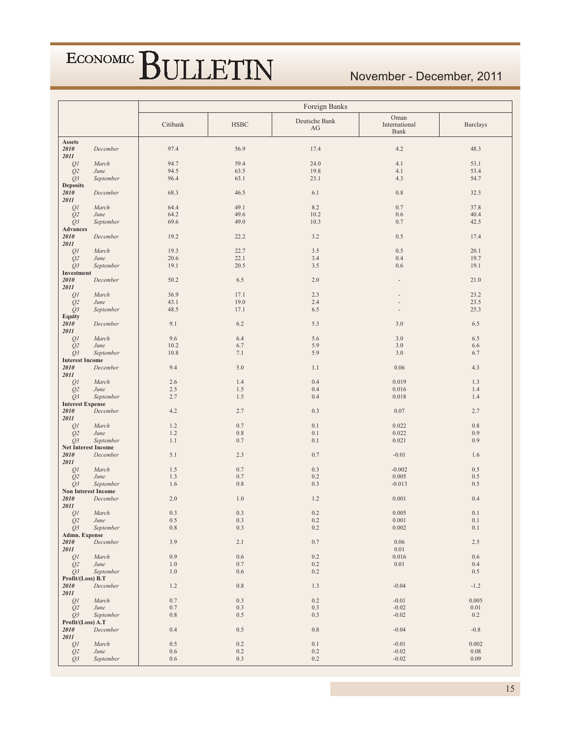#### November - December, 2011

|                                        |                            | Foreign Banks |                |                     |                               |                 |  |  |  |  |
|----------------------------------------|----------------------------|---------------|----------------|---------------------|-------------------------------|-----------------|--|--|--|--|
|                                        |                            | Citibank      | <b>HSBC</b>    | Deutsche Bank<br>AG | Oman<br>International<br>Bank | <b>Barclays</b> |  |  |  |  |
| <b>Assets</b><br>2010<br>2011          | December                   | 97.4          | 56.9           | 17.4                | 4.2                           | 48.3            |  |  |  |  |
| QI                                     | March                      | 94.7          | 59.4           | 24.0                | 4.1                           | 53.1            |  |  |  |  |
| Q2                                     | June                       | 94.5          | 63.5           | 19.8                | 4.1                           | 53.4            |  |  |  |  |
| $Q_3$<br><b>Deposits</b>               | September                  | 96.4          | 63.1           | 23.1                | 4.3                           | 54.7            |  |  |  |  |
| 2010<br>2011                           | December                   | 68.3          | 46.5           | 6.1                 | 0.8                           | 32.3            |  |  |  |  |
| $\mathcal{Q}I$                         | March                      | 64.4          | 49.1           | 8.2                 | 0.7                           | 37.8            |  |  |  |  |
| Q2<br>Q <sub>3</sub>                   | June<br>September          | 64.2<br>69.6  | 49.6<br>49.0   | 10.2<br>10.3        | 0.6<br>0.7                    | 40.4            |  |  |  |  |
| Advances                               |                            |               |                |                     |                               | 42.5            |  |  |  |  |
| 2010<br>2011                           | December                   | 19.2          | 22.2           | 3.2                 | 0.5                           | 17.4            |  |  |  |  |
| QI                                     | March                      | 19.3          | 22.7           | 3.5                 | 0.5                           | 20.1            |  |  |  |  |
| Q2                                     | June<br>September          | 20.6<br>19.1  | 22.1<br>20.5   | 3.4<br>3.5          | 0.4<br>0.6                    | 19.7<br>19.1    |  |  |  |  |
| Q <sub>3</sub><br>Investment           |                            |               |                |                     |                               |                 |  |  |  |  |
| 2010<br>2011                           | December                   | 50.2          | 6.5            | 2.0                 |                               | 21.0            |  |  |  |  |
| QI                                     | March                      | 36.9          | 17.1           | 2.3                 |                               | 23.2            |  |  |  |  |
| Q <sub>2</sub>                         | June                       | 43.1          | 19.0           | 2.4                 |                               | 23.5            |  |  |  |  |
| Q <sub>3</sub><br>Equity               | September                  | 48.5          | 17.1           | 6.5                 | $\overline{\phantom{a}}$      | 25.3            |  |  |  |  |
| 2010<br>2011                           | December                   | 9.1           | 6.2            | 5.3                 | 3.0                           | 6.5             |  |  |  |  |
| QI                                     | March                      | 9.6           | 6.4            | 5.6                 | 3.0                           | 6.5             |  |  |  |  |
| Q2                                     | June                       | 10.2          | 6.7            | 5.9                 | 3.0                           | 6.6             |  |  |  |  |
| Q3                                     | September                  | 10.8          | 7.1            | 5.9                 | 3.0                           | 6.7             |  |  |  |  |
| <b>Interest Income</b><br>2010<br>2011 | December                   | 9.4           | 5.0            | 1.1                 | 0.06                          | 4.3             |  |  |  |  |
| QI                                     | March                      | 2.6           | 1.4            | 0.4                 | 0.019                         | 1.3             |  |  |  |  |
| Q2                                     | June                       | 2.5           | 1.5            | 0.4                 | 0.016                         | 1.4             |  |  |  |  |
| $Q_3$<br><b>Interest Expense</b>       | September                  | 2.7           | 1.5            | 0.4                 | 0.018                         | 1.4             |  |  |  |  |
| 2010<br>2011                           | December                   | 4.2           | 2.7            | 0.3                 | 0.07                          | 2.7             |  |  |  |  |
| QI                                     | March                      | 1.2           | 0.7            | 0.1                 | 0.022                         | $0.8\,$         |  |  |  |  |
| Q <sub>2</sub>                         | June                       | 1.2           | $0.8\,$        | 0.1                 | 0.022                         | 0.9             |  |  |  |  |
| Q3<br><b>Net Interest Income</b>       | September                  | 1.1           | 0.7            | 0.1                 | 0.021                         | 0.9             |  |  |  |  |
| 2010                                   | December                   | 5.1           | 2.3            | 0.7                 | $-0.01$                       | 1.6             |  |  |  |  |
| 2011                                   |                            |               |                |                     |                               |                 |  |  |  |  |
| QI                                     | March                      | 1.5           | 0.7            | 0.3                 | $-0.002$                      | 0.5             |  |  |  |  |
| Q2<br>$Q_3$                            | June<br>September          | 1.3<br>1.6    | 0.7<br>$0.8\,$ | 0.2<br>0.3          | 0.005<br>$-0.013$             | 0.5<br>0.5      |  |  |  |  |
|                                        | <b>Non Interest Income</b> |               |                |                     |                               |                 |  |  |  |  |
| 2010<br>2011                           | December                   | 2.0           | 1.0            | 1.2                 | 0.001                         | 0.4             |  |  |  |  |
| QI                                     | March                      | 0.3           | 0.3            | 0.2                 | 0.005                         | $0.1\,$         |  |  |  |  |
| Q <sub>2</sub><br>Q3                   | June<br>September          | 0.5<br>0.8    | 0.3<br>0.3     | 0.2<br>0.2          | 0.001<br>0.002                | 0.1<br>0.1      |  |  |  |  |
| Admn. Expense                          |                            |               |                |                     |                               |                 |  |  |  |  |
| 2010<br>2011                           | December                   | 3.9           | 2.1            | $0.7\,$             | 0.06<br>$0.01\,$              | $2.5\,$         |  |  |  |  |
| QI                                     | March                      | 0.9           | 0.6            | 0.2                 | 0.016                         | 0.6             |  |  |  |  |
| Q <sub>2</sub>                         | June                       | 1.0           | 0.7            | 0.2                 | $0.01\,$                      | 0.4             |  |  |  |  |
| Q <sub>3</sub><br>Profit/(Loss) B.T    | September                  | 1.0           | 0.6            | 0.2                 |                               | 0.5             |  |  |  |  |
| 2010<br>2011                           | December                   | 1.2           | $0.8\,$        | 1.3                 | $-0.04$                       | $-1.2$          |  |  |  |  |
| QI                                     | March                      | $0.7\,$       | 0.3            | 0.2                 | $-0.01$                       | 0.005           |  |  |  |  |
| Q2                                     | June                       | $0.7\,$       | 0.3            | 0.3                 | $-0.02$                       | $0.01\,$        |  |  |  |  |
| $Q_3$                                  | September                  | 0.8           | 0.5            | 0.3                 | $-0.02$                       | 0.2             |  |  |  |  |
| Profit/(Loss) A.T<br>2010<br>2011      | December                   | 0.4           | 0.5            | 0.8                 | $-0.04$                       | $-0.8$          |  |  |  |  |
| $\mathcal{Q}I$                         | March                      | 0.5           | 0.2            | 0.1                 | $-0.01$                       | 0.002           |  |  |  |  |
| Q <sub>2</sub>                         | June                       | 0.6           | $0.2\,$        | 0.2                 | $-0.02$                       | 0.08            |  |  |  |  |
| Q <sub>3</sub>                         | September                  | 0.6           | 0.3            | $0.2\,$             | $-0.02$                       | 0.09            |  |  |  |  |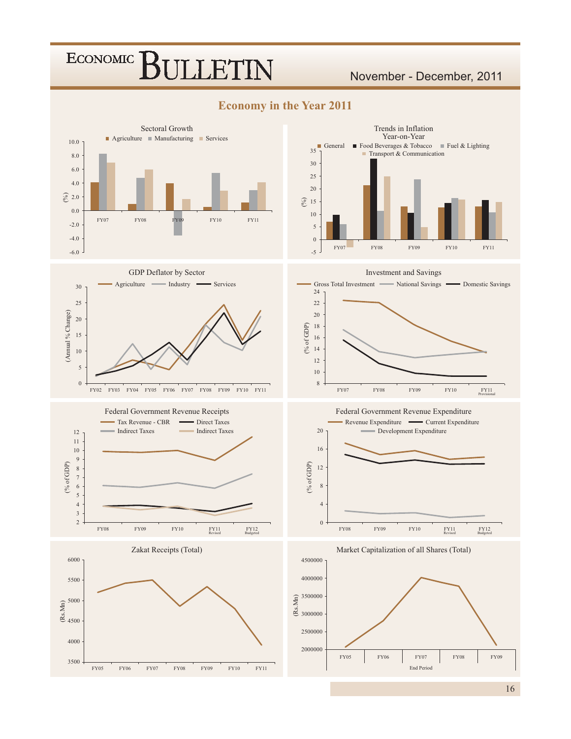#### November - December, 2011



**Economy in the Year 2011** 









Investment and Savings



Federal Government Revenue Expenditure





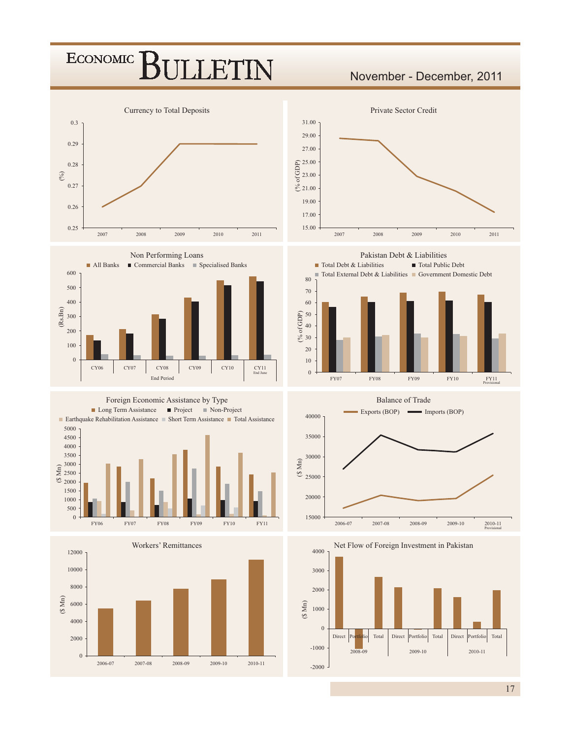#### ECONOMIC<sup>]</sup> **LETIN**

#### November - December, 2011





Foreign Economic Assistance by Type









**Balance of Trade** 



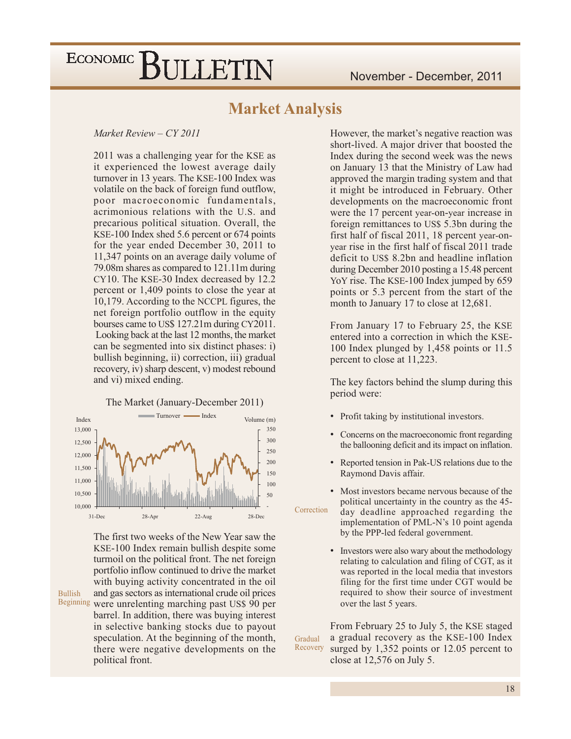#### **Market Analysis**

#### Market Review - CY 2011

2011 was a challenging year for the KSE as it experienced the lowest average daily turnover in 13 years. The KSE-100 Index was volatile on the back of foreign fund outflow, poor macroeconomic fundamentals, acrimonious relations with the U.S. and precarious political situation. Overall, the KSE-100 Index shed 5.6 percent or 674 points for the year ended December 30, 2011 to 11,347 points on an average daily volume of 79.08m shares as compared to 121.11m during CY10. The KSE-30 Index decreased by 12.2 percent or 1,409 points to close the year at 10,179. According to the NCCPL figures, the net foreign portfolio outflow in the equity bourses came to US\$ 127.21m during CY2011. Looking back at the last 12 months, the market can be segmented into six distinct phases: i) bullish beginning, ii) correction, iii) gradual recovery, iv) sharp descent, v) modest rebound and vi) mixed ending.

The Market (January-December 2011)



The first two weeks of the New Year saw the KSE-100 Index remain bullish despite some turmoil on the political front. The net foreign portfolio inflow continued to drive the market with buying activity concentrated in the oil and gas sectors as international crude oil prices Beginning were unrelenting marching past US\$ 90 per barrel. In addition, there was buying interest in selective banking stocks due to payout speculation. At the beginning of the month, there were negative developments on the political front.

**Bullish** 

However, the market's negative reaction was short-lived. A major driver that boosted the Index during the second week was the news on January 13 that the Ministry of Law had approved the margin trading system and that it might be introduced in February. Other developments on the macroeconomic front were the 17 percent year-on-year increase in foreign remittances to US\$ 5.3bn during the first half of fiscal 2011, 18 percent year-onyear rise in the first half of fiscal 2011 trade deficit to US\$ 8.2bn and headline inflation during December 2010 posting a 15.48 percent YoY rise. The KSE-100 Index jumped by 659 points or 5.3 percent from the start of the month to January 17 to close at 12,681.

From January 17 to February 25, the KSE entered into a correction in which the KSE-100 Index plunged by 1,458 points or 11.5 percent to close at 11,223.

The key factors behind the slump during this period were:

- Profit taking by institutional investors.
- $\bullet$ Concerns on the macroeconomic front regarding the ballooning deficit and its impact on inflation.
- Reported tension in Pak-US relations due to the Raymond Davis affair.

Most investors became nervous because of the political uncertainty in the country as the 45-Correction day deadline approached regarding the implementation of PML-N's 10 point agenda by the PPP-led federal government.

> $\bullet$ Investors were also wary about the methodology relating to calculation and filing of CGT, as it was reported in the local media that investors filing for the first time under CGT would be required to show their source of investment over the last 5 years.

From February 25 to July 5, the KSE staged a gradual recovery as the KSE-100 Index Gradual Recovery surged by  $1,352$  points or 12.05 percent to close at  $12,576$  on July 5.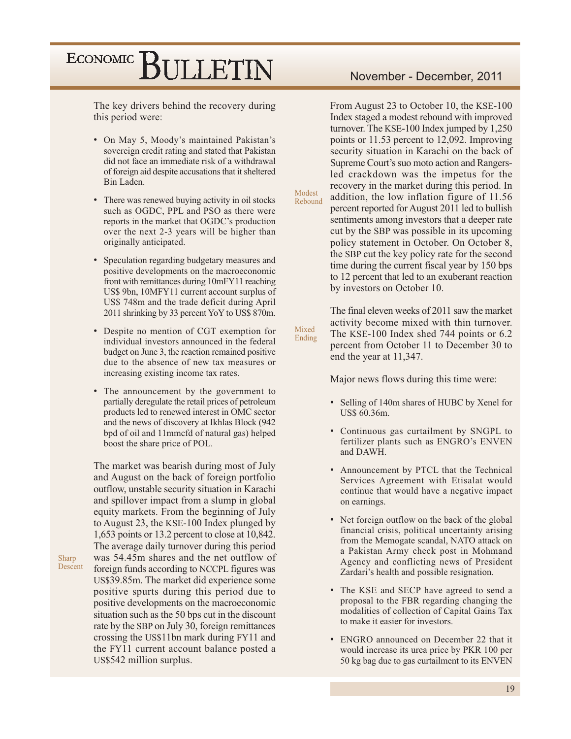The key drivers behind the recovery during this period were:

- On May 5, Moody's maintained Pakistan's sovereign credit rating and stated that Pakistan did not face an immediate risk of a withdrawal of foreign aid despite accusations that it sheltered Bin Laden.
- There was renewed buying activity in oil stocks such as OGDC, PPL and PSO as there were reports in the market that OGDC's production over the next 2-3 years will be higher than originally anticipated.
- Speculation regarding budgetary measures and positive developments on the macroeconomic front with remittances during 10mFY11 reaching US\$ 9bn, 10MFY11 current account surplus of US\$ 748m and the trade deficit during April 2011 shrinking by 33 percent YoY to US\$ 870m.
- Despite no mention of CGT exemption for individual investors announced in the federal budget on June 3, the reaction remained positive due to the absence of new tax measures or increasing existing income tax rates.
- The announcement by the government to partially deregulate the retail prices of petroleum products led to renewed interest in OMC sector and the news of discovery at Ikhlas Block (942) bpd of oil and 11mmcfd of natural gas) helped boost the share price of POL.

The market was bearish during most of July and August on the back of foreign portfolio outflow, unstable security situation in Karachi and spillover impact from a slump in global equity markets. From the beginning of July to August 23, the KSE-100 Index plunged by 1,653 points or 13.2 percent to close at  $10,842$ . The average daily turnover during this period was 54.45m shares and the net outflow of foreign funds according to NCCPL figures was US\$39.85m. The market did experience some positive spurts during this period due to positive developments on the macroeconomic situation such as the 50 bps cut in the discount rate by the SBP on July 30, foreign remittances crossing the US\$11bn mark during FY11 and the FY11 current account balance posted a US\$542 million surplus.

Sharp

Descent

From August 23 to October 10, the KSE-100 Index staged a modest rebound with improved turnover. The KSE-100 Index jumped by 1,250 points or 11.53 percent to 12,092. Improving security situation in Karachi on the back of Supreme Court's suo moto action and Rangersled crackdown was the impetus for the recovery in the market during this period. In addition, the low inflation figure of 11.56 Rebound percent reported for August 2011 led to bullish sentiments among investors that a deeper rate cut by the SBP was possible in its upcoming policy statement in October. On October 8, the SBP cut the key policy rate for the second time during the current fiscal year by 150 bps to 12 percent that led to an exuberant reaction by investors on October 10.

Modest

Mixed

Ending

The final eleven weeks of 2011 saw the market activity become mixed with thin turnover. The KSE-100 Index shed 744 points or 6.2 percent from October 11 to December 30 to end the year at 11,347.

Major news flows during this time were:

- Selling of 140m shares of HUBC by Xenel for US\$ 60.36m.
- Continuous gas curtailment by SNGPL to fertilizer plants such as ENGRO's ENVEN and DAWH.
- Announcement by PTCL that the Technical Services Agreement with Etisalat would continue that would have a negative impact on earnings.
- Net foreign outflow on the back of the global financial crisis, political uncertainty arising from the Memogate scandal, NATO attack on a Pakistan Army check post in Mohmand Agency and conflicting news of President Zardari's health and possible resignation.
- The KSE and SECP have agreed to send a proposal to the FBR regarding changing the modalities of collection of Capital Gains Tax to make it easier for investors.
- ENGRO announced on December 22 that it would increase its urea price by PKR 100 per 50 kg bag due to gas curtailment to its ENVEN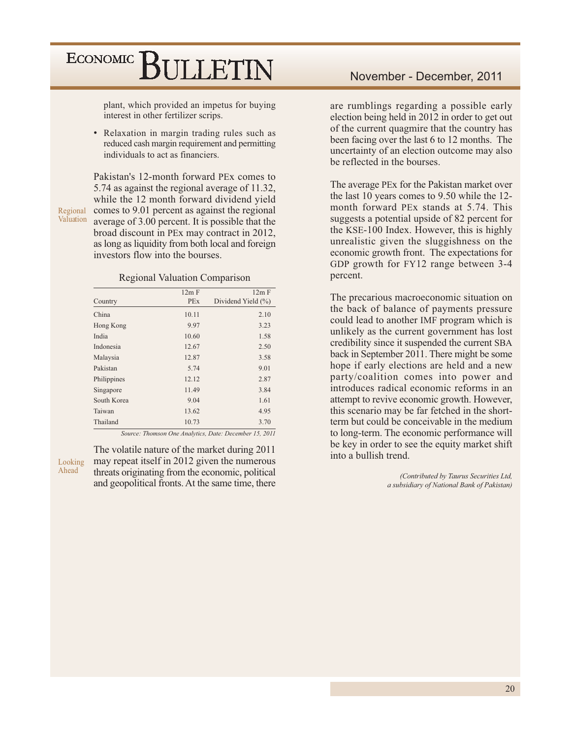plant, which provided an impetus for buying interest in other fertilizer scrips.

• Relaxation in margin trading rules such as reduced cash margin requirement and permitting individuals to act as financiers.

Pakistan's 12-month forward PEx comes to 5.74 as against the regional average of 11.32, while the 12 month forward dividend yield comes to 9.01 percent as against the regional Regional Valuation average of  $3.00$  percent. It is possible that the broad discount in PEx may contract in 2012, as long as liquidity from both local and foreign investors flow into the bourses.

#### **Regional Valuation Comparison**

|             | 12m F      | 12m F              |
|-------------|------------|--------------------|
| Country     | <b>PEx</b> | Dividend Yield (%) |
| China       | 10.11      | 2.10               |
| Hong Kong   | 9.97       | 3.23               |
| India       | 10.60      | 1.58               |
| Indonesia   | 12.67      | 2.50               |
| Malaysia    | 12.87      | 3.58               |
| Pakistan    | 5.74       | 9.01               |
| Philippines | 12.12      | 2.87               |
| Singapore   | 11.49      | 3.84               |
| South Korea | 9.04       | 1.61               |
| Taiwan      | 13.62      | 4.95               |
| Thailand    | 10.73      | 3.70               |

Source: Thomson One Analytics, Date: December 15, 2011

Looking Ahead

The volatile nature of the market during 2011 may repeat itself in 2012 given the numerous threats originating from the economic, political and geopolitical fronts. At the same time, there are rumblings regarding a possible early election being held in 2012 in order to get out of the current quagmire that the country has been facing over the last 6 to 12 months. The uncertainty of an election outcome may also be reflected in the bourses.

The average PEx for the Pakistan market over the last 10 years comes to 9.50 while the 12month forward PEx stands at 5.74. This suggests a potential upside of 82 percent for the KSE-100 Index. However, this is highly unrealistic given the sluggishness on the economic growth front. The expectations for GDP growth for FY12 range between 3-4 percent.

The precarious macroeconomic situation on the back of balance of payments pressure could lead to another IMF program which is unlikely as the current government has lost credibility since it suspended the current SBA back in September 2011. There might be some hope if early elections are held and a new party/coalition comes into power and introduces radical economic reforms in an attempt to revive economic growth. However, this scenario may be far fetched in the shortterm but could be conceivable in the medium to long-term. The economic performance will be key in order to see the equity market shift into a bullish trend.

> (Contributed by Taurus Securities Ltd, a subsidiary of National Bank of Pakistan)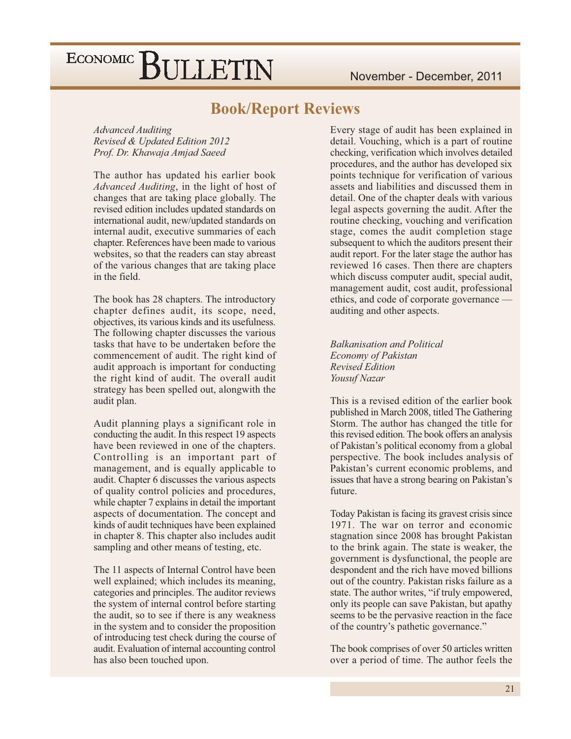#### **Book/Report Reviews**

**Advanced Auditing** Revised & Updated Edition 2012 Prof. Dr. Khawaja Amjad Saeed

The author has updated his earlier book Advanced Auditing, in the light of host of changes that are taking place globally. The revised edition includes updated standards on international audit, new/updated standards on internal audit, executive summaries of each chapter. References have been made to various websites, so that the readers can stay abreast of the various changes that are taking place in the field.

The book has 28 chapters. The introductory chapter defines audit, its scope, need, objectives, its various kinds and its usefulness. The following chapter discusses the various tasks that have to be undertaken before the commencement of audit. The right kind of audit approach is important for conducting the right kind of audit. The overall audit strategy has been spelled out, alongwith the audit plan.

Audit planning plays a significant role in conducting the audit. In this respect 19 aspects have been reviewed in one of the chapters. Controlling is an important part of management, and is equally applicable to audit. Chapter 6 discusses the various aspects of quality control policies and procedures, while chapter 7 explains in detail the important aspects of documentation. The concept and kinds of audit techniques have been explained in chapter 8. This chapter also includes audit sampling and other means of testing, etc.

The 11 aspects of Internal Control have been well explained; which includes its meaning, categories and principles. The auditor reviews the system of internal control before starting the audit, so to see if there is any weakness in the system and to consider the proposition of introducing test check during the course of audit. Evaluation of internal accounting control has also been touched upon.

Every stage of audit has been explained in detail. Vouching, which is a part of routine checking, verification which involves detailed procedures, and the author has developed six points technique for verification of various assets and liabilities and discussed them in detail. One of the chapter deals with various legal aspects governing the audit. After the routine checking, vouching and verification stage, comes the audit completion stage subsequent to which the auditors present their audit report. For the later stage the author has reviewed 16 cases. Then there are chapters which discuss computer audit, special audit, management audit, cost audit, professional ethics, and code of corporate governance auditing and other aspects.

**Balkanisation and Political Economy of Pakistan Revised Edition** Yousuf Nazar

This is a revised edition of the earlier book published in March 2008, titled The Gathering Storm. The author has changed the title for this revised edition. The book offers an analysis of Pakistan's political economy from a global perspective. The book includes analysis of Pakistan's current economic problems, and issues that have a strong bearing on Pakistan's future

Today Pakistan is facing its gravest crisis since 1971. The war on terror and economic stagnation since 2008 has brought Pakistan to the brink again. The state is weaker, the government is dysfunctional, the people are despondent and the rich have moved billions out of the country. Pakistan risks failure as a state. The author writes, "if truly empowered, only its people can save Pakistan, but apathy seems to be the pervasive reaction in the face of the country's pathetic governance."

The book comprises of over 50 articles written over a period of time. The author feels the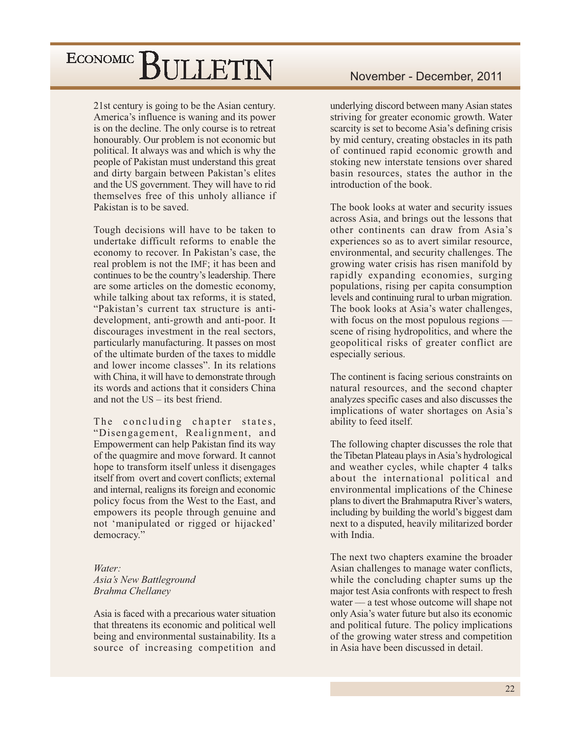21st century is going to be the Asian century. America's influence is waning and its power is on the decline. The only course is to retreat honourably. Our problem is not economic but political. It always was and which is why the people of Pakistan must understand this great and dirty bargain between Pakistan's elites and the US government. They will have to rid themselves free of this unholy alliance if Pakistan is to be saved.

Tough decisions will have to be taken to undertake difficult reforms to enable the economy to recover. In Pakistan's case, the real problem is not the IMF; it has been and continues to be the country's leadership. There are some articles on the domestic economy, while talking about tax reforms, it is stated, "Pakistan's current tax structure is antidevelopment, anti-growth and anti-poor. It discourages investment in the real sectors, particularly manufacturing. It passes on most of the ultimate burden of the taxes to middle and lower income classes". In its relations with China, it will have to demonstrate through its words and actions that it considers China and not the  $US - its$  hest friend

The concluding chapter states, "Disengagement, Realignment, and Empowerment can help Pakistan find its way of the quagmire and move forward. It cannot hope to transform itself unless it disengages itself from overt and covert conflicts; external and internal, realigns its foreign and economic policy focus from the West to the East, and empowers its people through genuine and not 'manipulated or rigged or hijacked' democracy."

#### $W$ ater $\cdot$ Asia's New Battleground **Brahma Chellaney**

Asia is faced with a precarious water situation that threatens its economic and political well being and environmental sustainability. Its a source of increasing competition and

underlying discord between many Asian states striving for greater economic growth. Water scarcity is set to become Asia's defining crisis by mid century, creating obstacles in its path of continued rapid economic growth and stoking new interstate tensions over shared basin resources, states the author in the introduction of the book.

The book looks at water and security issues across Asia, and brings out the lessons that other continents can draw from Asia's experiences so as to avert similar resource, environmental, and security challenges. The growing water crisis has risen manifold by rapidly expanding economies, surging populations, rising per capita consumption levels and continuing rural to urban migration. The book looks at Asia's water challenges, with focus on the most populous regions  $$ scene of rising hydropolitics, and where the geopolitical risks of greater conflict are especially serious.

The continent is facing serious constraints on natural resources, and the second chapter analyzes specific cases and also discusses the implications of water shortages on Asia's ability to feed itself.

The following chapter discusses the role that the Tibetan Plateau plays in Asia's hydrological and weather cycles, while chapter 4 talks about the international political and environmental implications of the Chinese plans to divert the Brahmaputra River's waters, including by building the world's biggest dam next to a disputed, heavily militarized border with India.

The next two chapters examine the broader Asian challenges to manage water conflicts, while the concluding chapter sums up the major test Asia confronts with respect to fresh water — a test whose outcome will shape not only Asia's water future but also its economic and political future. The policy implications of the growing water stress and competition in Asia have been discussed in detail.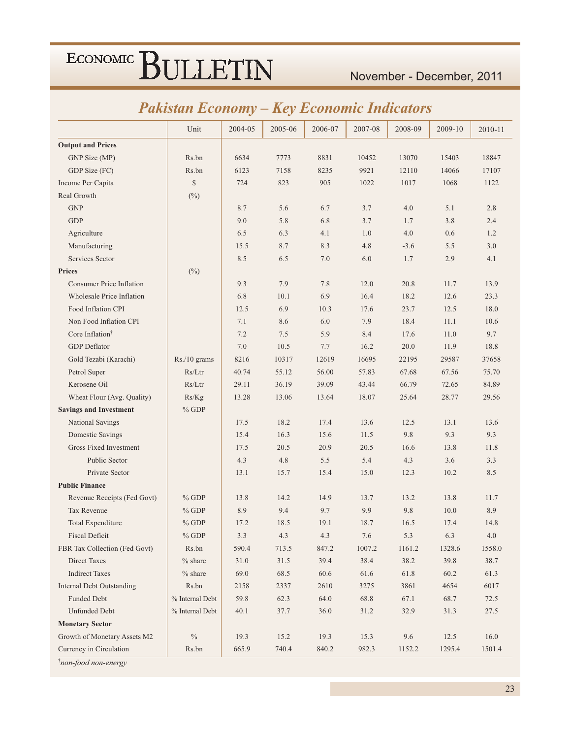#### November - December, 2011

#### **Pakistan Economy - Key Economic Indicators**

|                                  | Unit            | 2004-05 | 2005-06 | 2006-07 | 2007-08 | 2008-09 | 2009-10 | 2010-11 |
|----------------------------------|-----------------|---------|---------|---------|---------|---------|---------|---------|
| <b>Output and Prices</b>         |                 |         |         |         |         |         |         |         |
| GNP Size (MP)                    | Rs.bn           | 6634    | 7773    | 8831    | 10452   | 13070   | 15403   | 18847   |
| GDP Size (FC)                    | Rs.bn           | 6123    | 7158    | 8235    | 9921    | 12110   | 14066   | 17107   |
| Income Per Capita                | $\mathbb{S}$    | 724     | 823     | 905     | 1022    | 1017    | 1068    | 1122    |
| Real Growth                      | $(\%)$          |         |         |         |         |         |         |         |
| <b>GNP</b>                       |                 | 8.7     | 5.6     | 6.7     | 3.7     | 4.0     | 5.1     | 2.8     |
| <b>GDP</b>                       |                 | 9.0     | 5.8     | 6.8     | 3.7     | 1.7     | 3.8     | 2.4     |
| Agriculture                      |                 | 6.5     | 6.3     | 4.1     | 1.0     | 4.0     | 0.6     | 1.2     |
| Manufacturing                    |                 | 15.5    | 8.7     | 8.3     | 4.8     | $-3.6$  | 5.5     | 3.0     |
| Services Sector                  |                 | 8.5     | 6.5     | 7.0     | 6.0     | 1.7     | 2.9     | 4.1     |
| <b>Prices</b>                    | $(\%)$          |         |         |         |         |         |         |         |
| <b>Consumer Price Inflation</b>  |                 | 9.3     | 7.9     | 7.8     | 12.0    | 20.8    | 11.7    | 13.9    |
| <b>Wholesale Price Inflation</b> |                 | 6.8     | 10.1    | 6.9     | 16.4    | 18.2    | 12.6    | 23.3    |
| Food Inflation CPI               |                 | 12.5    | 6.9     | 10.3    | 17.6    | 23.7    | 12.5    | 18.0    |
| Non Food Inflation CPI           |                 | 7.1     | 8.6     | 6.0     | 7.9     | 18.4    | 11.1    | 10.6    |
| Core Inflation <sup>†</sup>      |                 | 7.2     | 7.5     | 5.9     | 8.4     | 17.6    | 11.0    | 9.7     |
| <b>GDP</b> Deflator              |                 | 7.0     | 10.5    | 7.7     | 16.2    | 20.0    | 11.9    | 18.8    |
| Gold Tezabi (Karachi)            | Rs./10 grams    | 8216    | 10317   | 12619   | 16695   | 22195   | 29587   | 37658   |
| Petrol Super                     | Rs/Ltr          | 40.74   | 55.12   | 56.00   | 57.83   | 67.68   | 67.56   | 75.70   |
| Kerosene Oil                     | Rs/Ltr          | 29.11   | 36.19   | 39.09   | 43.44   | 66.79   | 72.65   | 84.89   |
| Wheat Flour (Avg. Quality)       | Rs/Kg           | 13.28   | 13.06   | 13.64   | 18.07   | 25.64   | 28.77   | 29.56   |
| <b>Savings and Investment</b>    | $%$ GDP         |         |         |         |         |         |         |         |
| National Savings                 |                 | 17.5    | 18.2    | 17.4    | 13.6    | 12.5    | 13.1    | 13.6    |
| Domestic Savings                 |                 | 15.4    | 16.3    | 15.6    | 11.5    | 9.8     | 9.3     | 9.3     |
| Gross Fixed Investment           |                 | 17.5    | 20.5    | 20.9    | 20.5    | 16.6    | 13.8    | 11.8    |
| <b>Public Sector</b>             |                 | 4.3     | 4.8     | 5.5     | 5.4     | 4.3     | 3.6     | 3.3     |
| Private Sector                   |                 | 13.1    | 15.7    | 15.4    | 15.0    | 12.3    | 10.2    | 8.5     |
| <b>Public Finance</b>            |                 |         |         |         |         |         |         |         |
| Revenue Receipts (Fed Govt)      | $%$ GDP         | 13.8    | 14.2    | 14.9    | 13.7    | 13.2    | 13.8    | 11.7    |
| Tax Revenue                      | $%$ GDP         | 8.9     | 9.4     | 9.7     | 9.9     | 9.8     | 10.0    | 8.9     |
| <b>Total Expenditure</b>         | $%$ GDP         | 17.2    | 18.5    | 19.1    | 18.7    | 16.5    | 17.4    | 14.8    |
| <b>Fiscal Deficit</b>            | $%$ GDP         | 3.3     | 4.3     | 4.3     | 7.6     | 5.3     | 6.3     | 4.0     |
| FBR Tax Collection (Fed Govt)    | Rs.bn           | 590.4   | 713.5   | 847.2   | 1007.2  | 1161.2  | 1328.6  | 1558.0  |
| <b>Direct Taxes</b>              | $%$ share       | 31.0    | 31.5    | 39.4    | 38.4    | 38.2    | 39.8    | 38.7    |
| <b>Indirect Taxes</b>            | $%$ share       | 69.0    | 68.5    | 60.6    | 61.6    | 61.8    | 60.2    | 61.3    |
| <b>Internal Debt Outstanding</b> | Rs.bn           | 2158    | 2337    | 2610    | 3275    | 3861    | 4654    | 6017    |
| <b>Funded Debt</b>               | % Internal Debt | 59.8    | 62.3    | 64.0    | 68.8    | 67.1    | 68.7    | 72.5    |
| <b>Unfunded Debt</b>             | % Internal Debt | 40.1    | 37.7    | 36.0    | 31.2    | 32.9    | 31.3    | 27.5    |
| <b>Monetary Sector</b>           |                 |         |         |         |         |         |         |         |
| Growth of Monetary Assets M2     | $\frac{0}{0}$   | 19.3    | 15.2    | 19.3    | 15.3    | 9.6     | 12.5    | 16.0    |
| Currency in Circulation          | Rs.bn           | 665.9   | 740.4   | 840.2   | 982.3   | 1152.2  | 1295.4  | 1501.4  |

*i*non-food non-energy